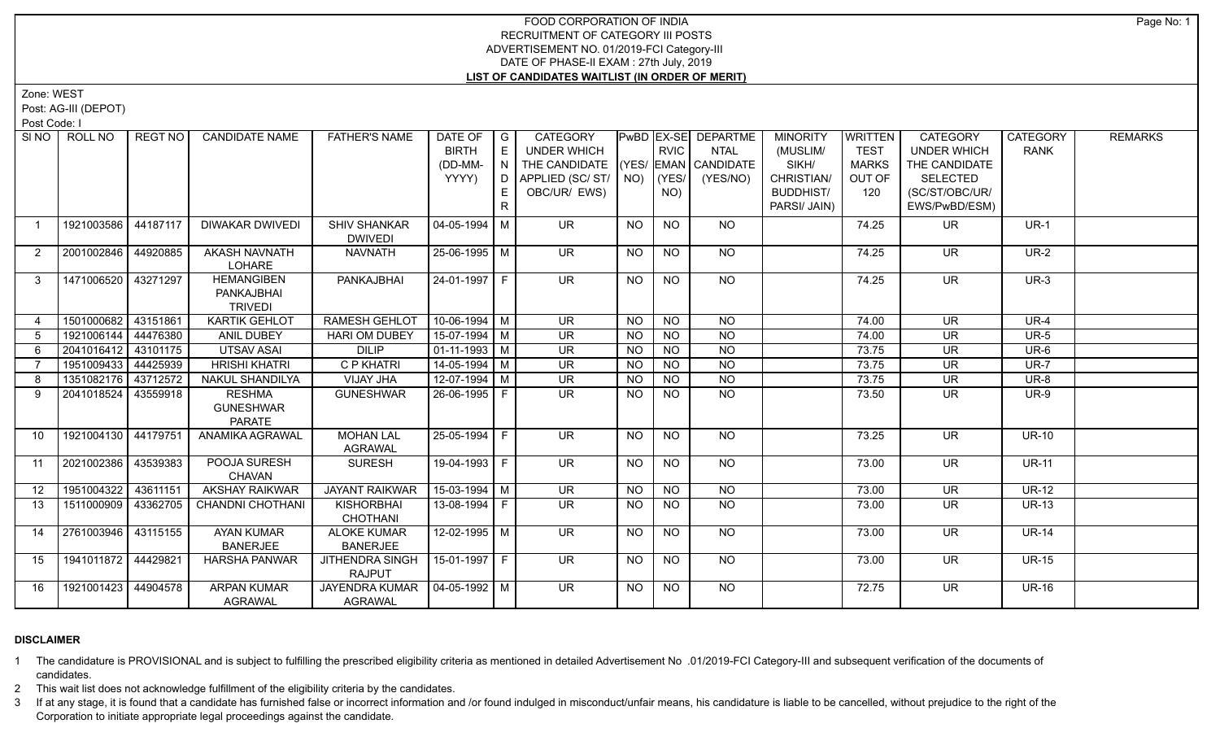Zone: WEST

Post: AG-III (DEPOT)

Post Code: I

| SI NO           | ROLL NO             | REGT NO  | <b>CANDIDATE NAME</b>          | <b>FATHER'S NAME</b>  | DATE OF            | $\overline{\phantom{a}}$ G | <b>CATEGORY</b>          |             |                | PwBD EX-SE DEPARTME                      | <b>MINORITY</b>  | <b>WRITTEN</b> | <b>CATEGORY</b>    | <b>CATEGORY</b> | <b>REMARKS</b> |
|-----------------|---------------------|----------|--------------------------------|-----------------------|--------------------|----------------------------|--------------------------|-------------|----------------|------------------------------------------|------------------|----------------|--------------------|-----------------|----------------|
|                 |                     |          |                                |                       | <b>BIRTH</b>       | E                          | <b>UNDER WHICH</b>       |             | <b>RVIC</b>    | <b>NTAL</b>                              | (MUSLIM/         | <b>TEST</b>    | <b>UNDER WHICH</b> | <b>RANK</b>     |                |
|                 |                     |          |                                |                       | (DD-MM-            |                            | THE CANDIDATE            |             |                | (YES/ EMAN CANDIDATE                     | SIKH/            | <b>MARKS</b>   | THE CANDIDATE      |                 |                |
|                 |                     |          |                                |                       | YYYY)              | D                          | APPLIED (SC/ST/          | $NO)$ (YES/ |                | (YES/NO)                                 | CHRISTIAN/       | OUT OF         | <b>SELECTED</b>    |                 |                |
|                 |                     |          |                                |                       |                    | E                          | OBC/UR/ EWS)             |             | NO)            |                                          | <b>BUDDHIST/</b> | 120            | (SC/ST/OBC/UR/     |                 |                |
|                 |                     |          |                                |                       |                    | R.                         |                          |             |                |                                          | PARSI/ JAIN)     |                | EWS/PwBD/ESM)      |                 |                |
| $\mathbf{1}$    | 1921003586          | 44187117 | <b>DIWAKAR DWIVEDI</b>         | <b>SHIV SHANKAR</b>   | $04 - 05 - 1994$ M |                            | <b>UR</b>                | <b>NO</b>   | <b>NO</b>      | NO                                       |                  | 74.25          | UR.                | $UR-1$          |                |
|                 |                     |          |                                | <b>DWIVEDI</b>        |                    |                            |                          |             |                |                                          |                  |                |                    |                 |                |
| 2               | 2001002846 44920885 |          | <b>AKASH NAVNATH</b><br>LOHARE | <b>NAVNATH</b>        | 25-06-1995 M       |                            | <b>UR</b>                | <b>NO</b>   | <b>NO</b>      | <b>NO</b>                                |                  | 74.25          | <b>UR</b>          | $UR-2$          |                |
| 3               | 1471006520 43271297 |          | <b>HEMANGIBEN</b>              | PANKAJBHAI            | 24-01-1997 F       |                            | <b>UR</b>                | <b>NO</b>   | $\overline{N}$ | <b>NO</b>                                |                  | 74.25          | <b>UR</b>          | $UR-3$          |                |
|                 |                     |          | PANKAJBHAI                     |                       |                    |                            |                          |             |                |                                          |                  |                |                    |                 |                |
|                 |                     |          | <b>TRIVEDI</b>                 |                       |                    |                            |                          |             |                |                                          |                  |                |                    |                 |                |
|                 | 1501000682 43151861 |          | <b>KARTIK GEHLOT</b>           | <b>RAMESH GEHLOT</b>  | $10-06-1994$ M     |                            | <b>UR</b>                | <b>NO</b>   | <b>NO</b>      | <b>NO</b>                                |                  | 74.00          | <b>UR</b>          | <b>UR-4</b>     |                |
|                 | 1921006144          | 44476380 | ANIL DUBEY                     | <b>HARI OM DUBEY</b>  | 15-07-1994 M       |                            | <b>UR</b>                | <b>NO</b>   | <b>NO</b>      | $\overline{N}$                           |                  | 74.00          | <b>UR</b>          | <b>UR-5</b>     |                |
| 6               | 2041016412 43101175 |          | <b>UTSAV ASAI</b>              | <b>DILIP</b>          | $01 - 11 - 1993$ M |                            | <b>UR</b>                | <b>NO</b>   | <b>NO</b>      | <b>NO</b>                                |                  | 73.75          | <b>UR</b>          | <b>UR-6</b>     |                |
|                 | 1951009433          | 44425939 | <b>HRISHI KHATRI</b>           | C P KHATRI            | 14-05-1994 M       |                            | <b>UR</b>                | <b>NO</b>   | <b>NO</b>      | $\overline{NQ}$                          |                  | 73.75          | <b>UR</b>          | <b>UR-7</b>     |                |
|                 | 1351082176 43712572 |          | NAKUL SHANDILYA                | <b>VIJAY JHA</b>      | 12-07-1994 M       |                            | <b>UR</b>                | <b>NO</b>   | <b>NO</b>      | <b>NO</b>                                |                  | 73.75          | <b>UR</b>          | <b>UR-8</b>     |                |
| 9               | 2041018524          | 43559918 | <b>RESHMA</b>                  | <b>GUNESHWAR</b>      | 26-06-1995   F     |                            | <b>UR</b>                | NO.         | <b>NO</b>      | $\overline{NQ}$                          |                  | 73.50          | <b>UR</b>          | <b>UR-9</b>     |                |
|                 |                     |          | <b>GUNESHWAR</b>               |                       |                    |                            |                          |             |                |                                          |                  |                |                    |                 |                |
|                 |                     |          | <b>PARATE</b>                  |                       |                    |                            |                          |             |                |                                          |                  |                |                    |                 |                |
| 10              | 1921004130 44179751 |          | ANAMIKA AGRAWAL                | <b>MOHAN LAL</b>      | 25-05-1994 F       |                            | $\overline{\mathsf{UR}}$ | <b>NO</b>   | NO             | NO                                       |                  | 73.25          | <b>UR</b>          | <b>UR-10</b>    |                |
|                 |                     |          |                                | AGRAWAL               |                    |                            |                          |             |                |                                          |                  |                |                    |                 |                |
| 11              | 2021002386 43539383 |          | POOJA SURESH                   | <b>SURESH</b>         | 19-04-1993 F       |                            | <b>UR</b>                | <b>NO</b>   | <b>NO</b>      | <b>NO</b>                                |                  | 73.00          | <b>UR</b>          | <b>UR-11</b>    |                |
|                 |                     |          | <b>CHAVAN</b>                  |                       |                    |                            |                          |             |                |                                          |                  |                |                    |                 |                |
| 12 <sup>°</sup> | 1951004322          | 43611151 | <b>AKSHAY RAIKWAR</b>          | <b>JAYANT RAIKWAR</b> | $15-03-1994$ M     |                            | <b>UR</b>                | <b>NO</b>   | <b>NO</b>      | <b>NO</b>                                |                  | 73.00          | <b>UR</b>          | <b>UR-12</b>    |                |
| -13             | 1511000909          | 43362705 | <b>CHANDNI CHOTHANI</b>        | KISHORBHAI            | 13-08-1994 F       |                            | <b>UR</b>                | <b>NO</b>   | NO.            | NO                                       |                  | 73.00          | <b>UR</b>          | <b>UR-13</b>    |                |
|                 |                     |          |                                | <b>CHOTHANI</b>       |                    |                            |                          |             |                |                                          |                  |                |                    |                 |                |
| 14              | 2761003946 43115155 |          | AYAN KUMAR                     | <b>ALOKE KUMAR</b>    | 12-02-1995   M     |                            | $\overline{\mathsf{UR}}$ | <b>NO</b>   | <b>NO</b>      | $N$ <sup><math>\overline{O}</math></sup> |                  | 73.00          | <b>UR</b>          | <b>UR-14</b>    |                |
|                 |                     |          | <b>BANERJEE</b>                | <b>BANERJEE</b>       |                    |                            |                          |             |                |                                          |                  |                |                    |                 |                |
| 15              | 1941011872          | 44429821 | <b>HARSHA PANWAR</b>           | JITHENDRA SINGH       | 15-01-1997 F       |                            | <b>UR</b>                | NO          | N <sub>O</sub> | $N$ O                                    |                  | 73.00          | <b>UR</b>          | <b>UR-15</b>    |                |
|                 |                     |          |                                | <b>RAJPUT</b>         |                    |                            |                          |             |                |                                          |                  |                |                    |                 |                |
| 16              | 1921001423 44904578 |          | <b>ARPAN KUMAR</b>             | JAYENDRA KUMAR        | $04 - 05 - 1992$ M |                            | $\overline{\mathsf{UR}}$ | NO          | <b>NO</b>      | NO                                       |                  | 72.75          | UR.                | <b>UR-16</b>    |                |
|                 |                     |          | <b>AGRAWAL</b>                 | <b>AGRAWAL</b>        |                    |                            |                          |             |                |                                          |                  |                |                    |                 |                |

# **DISCLAIMER**

1 The candidature is PROVISIONAL and is subject to fulfilling the prescribed eligibility criteria as mentioned in detailed Advertisement No .01/2019-FCI Category-III and subsequent verification of the documents of candidates.

2 This wait list does not acknowledge fulfillment of the eligibility criteria by the candidates.

3 If at any stage, it is found that a candidate has furnished false or incorrect information and /or found indulged in misconduct/unfair means, his candidature is liable to be cancelled, without prejudice to the right of t Corporation to initiate appropriate legal proceedings against the candidate.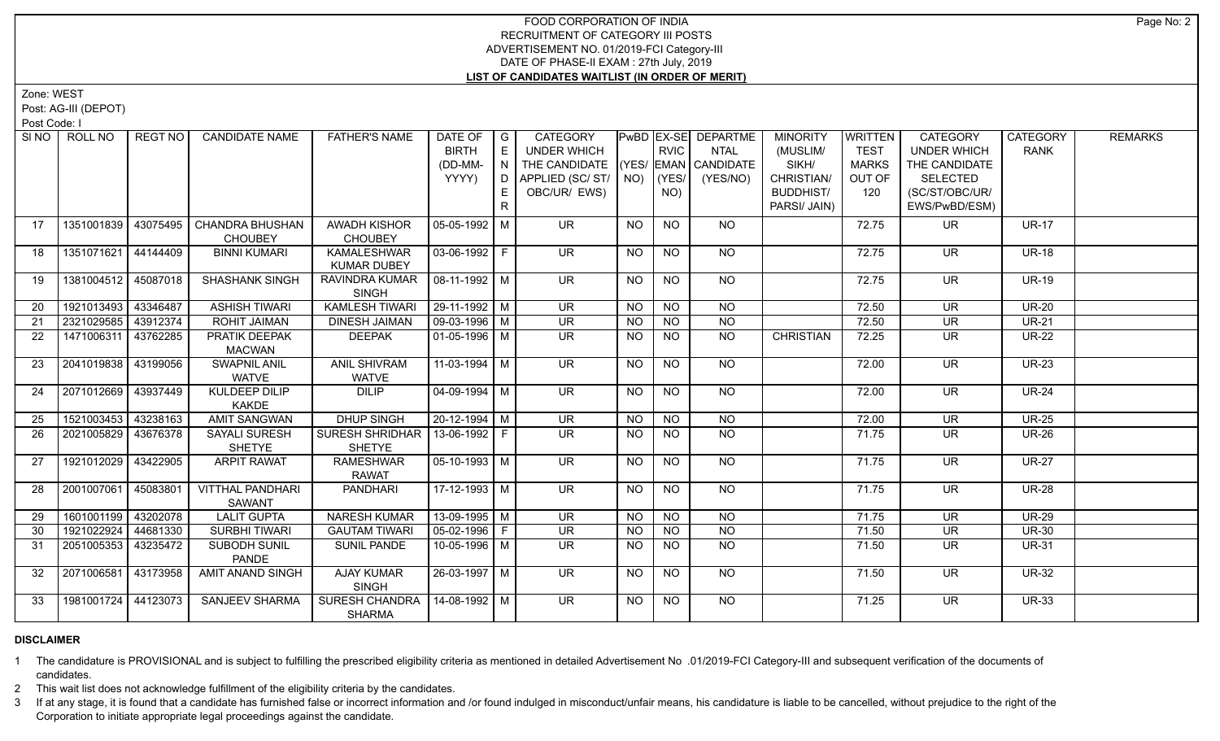Zone: WEST

Post: AG-III (DEPOT)

Post Code: I

| SI <sub>NO</sub> | ROLL NO             | <b>REGT NO</b> | <b>CANDIDATE NAME</b>             | <b>FATHER'S NAME</b>            | DATE OF $ G $          |     | <b>CATEGORY</b>                    |           |                  | PwBD EX-SE DEPARTME | <b>MINORITY</b>  | <b>WRITTEN</b> | <b>CATEGORY</b>          | <b>CATEGORY</b> | <b>REMARKS</b> |
|------------------|---------------------|----------------|-----------------------------------|---------------------------------|------------------------|-----|------------------------------------|-----------|------------------|---------------------|------------------|----------------|--------------------------|-----------------|----------------|
|                  |                     |                |                                   |                                 | <b>BIRTH</b>           | E   | UNDER WHICH                        |           | <b>RVIC</b>      | <b>NTAL</b>         | (MUSLIM/         | <b>TEST</b>    | <b>UNDER WHICH</b>       | <b>RANK</b>     |                |
|                  |                     |                |                                   |                                 | (DD-MM-                | IN. | THE CANDIDATE (YES/ EMAN CANDIDATE |           |                  |                     | SIKH/            | <b>MARKS</b>   | THE CANDIDATE            |                 |                |
|                  |                     |                |                                   |                                 | YYYY)                  |     | D   APPLIED (SC/ ST/   NO)         |           | (YES/            | (YES/NO)            | CHRISTIAN/       | OUT OF         | SELECTED                 |                 |                |
|                  |                     |                |                                   |                                 |                        |     | OBC/UR/ EWS)                       |           | NO)              |                     | <b>BUDDHIST/</b> | 120            | (SC/ST/OBC/UR/           |                 |                |
|                  |                     |                |                                   |                                 |                        | R.  |                                    |           |                  |                     | PARSI/ JAIN)     |                | EWS/PwBD/ESM)            |                 |                |
| 17               | 1351001839          | 43075495       | <b>CHANDRA BHUSHAN</b>            | AWADH KISHOR                    | 05-05-1992 M           |     | <b>UR</b>                          | <b>NO</b> | <b>NO</b>        | <b>NO</b>           |                  | 72.75          | <b>UR</b>                | <b>UR-17</b>    |                |
|                  |                     |                | <b>CHOUBEY</b>                    | <b>CHOUBEY</b>                  |                        |     |                                    |           |                  |                     |                  |                |                          |                 |                |
| 18               | 1351071621 44144409 |                | <b>BINNI KUMARI</b>               | <b>KAMALESHWAR</b>              | $ 03 - 06 - 1992 $ F   |     | <b>UR</b>                          | <b>NO</b> | <b>NO</b>        | NO                  |                  | 72.75          | <b>UR</b>                | <b>UR-18</b>    |                |
|                  |                     |                |                                   | <b>KUMAR DUBEY</b>              |                        |     |                                    |           |                  |                     |                  |                |                          |                 |                |
| 19               | 1381004512 45087018 |                | <b>SHASHANK SINGH</b>             | RAVINDRA KUMAR                  | $\sqrt{08-11-1992}$ M  |     | UR.                                | <b>NO</b> | <b>NO</b>        | NO                  |                  | 72.75          | UR.                      | <b>UR-19</b>    |                |
|                  |                     |                |                                   | <b>SINGH</b>                    |                        |     |                                    |           |                  |                     |                  |                |                          |                 |                |
| 20               | 1921013493 43346487 |                | <b>ASHISH TIWARI</b>              | <b>KAMLESH TIWARI</b>           | $29-11-1992$ M         |     | $\overline{\mathsf{UR}}$           | <b>NO</b> | N <sub>O</sub>   | $\overline{NO}$     |                  | 72.50          | $\overline{\mathsf{UR}}$ | $UR-20$         |                |
| 21               | 2321029585 43912374 |                | <b>ROHIT JAIMAN</b>               | <b>DINESH JAIMAN</b>            | $\sqrt{09-03-1996}$ M  |     | $\overline{\mathsf{UR}}$           | <b>NO</b> | <b>NO</b>        | <b>NO</b>           |                  | 72.50          | $\overline{\mathsf{UR}}$ | $UR-21$         |                |
| 22               | 1471006311 43762285 |                | PRATIK DEEPAK                     | <b>DEEPAK</b>                   | $\boxed{01-05-1996}$ M |     | $\overline{\mathsf{UR}}$           | <b>NO</b> | $N$ <sup>O</sup> | $\overline{NO}$     | <b>CHRISTIAN</b> | 72.25          | $\overline{\mathsf{UR}}$ | $UR-22$         |                |
|                  |                     |                | <b>MACWAN</b>                     |                                 |                        |     |                                    |           |                  |                     |                  |                |                          |                 |                |
| 23               | 2041019838 43199056 |                | <b>SWAPNIL ANIL</b>               | <b>ANIL SHIVRAM</b>             | $11-03-1994$ M         |     | $\overline{\mathsf{UR}}$           | <b>NO</b> | <b>NO</b>        | NO                  |                  | 72.00          | $\overline{\mathsf{UR}}$ | <b>UR-23</b>    |                |
|                  |                     |                | <b>WATVE</b>                      | <b>WATVE</b>                    |                        |     |                                    |           |                  |                     |                  |                |                          |                 |                |
| 24               | 2071012669 43937449 |                | <b>KULDEEP DILIP</b>              | <b>DILIP</b>                    | $\sqrt{04-09-1994}$ M  |     | $\overline{\mathsf{UR}}$           | <b>NO</b> | $N$ O            | NO                  |                  | 72.00          | $\overline{\mathsf{UR}}$ | $UR-24$         |                |
|                  |                     |                | <b>KAKDE</b>                      |                                 |                        |     |                                    |           |                  |                     |                  |                |                          |                 |                |
| 25               | 1521003453 43238163 |                | <b>AMIT SANGWAN</b>               | <b>DHUP SINGH</b>               | $\sqrt{20-12-1994}$ M  |     | $\overline{\mathsf{UR}}$           | <b>NO</b> | <b>NO</b>        | <b>NO</b>           |                  | 72.00          | <b>UR</b>                | $UR-25$         |                |
| 26               | 2021005829 43676378 |                | <b>SAYALI SURESH</b>              | <b>SURESH SHRIDHAR</b>          | 13-06-1992   F         |     | UR.                                | NO.       | NO.              | NO                  |                  | 71.75          | <b>UR</b>                | <b>UR-26</b>    |                |
|                  |                     |                | <b>SHETYE</b>                     | <b>SHETYE</b>                   |                        |     |                                    |           |                  |                     |                  |                |                          |                 |                |
| 27               | 1921012029 43422905 |                | <b>ARPIT RAWAT</b>                | <b>RAMESHWAR</b>                | 05-10-1993 M           |     | $\overline{\mathsf{UR}}$           | NO.       | NO.              | NO                  |                  | 71.75          | UR.                      | <b>UR-27</b>    |                |
|                  |                     |                |                                   | <b>RAWAT</b>                    |                        |     |                                    |           |                  |                     |                  |                |                          |                 |                |
| 28               | 2001007061          | 45083801       | <b>VITTHAL PANDHARI</b><br>SAWANT | <b>PANDHARI</b>                 | $17 - 12 - 1993$ M     |     | UR                                 | NO        | NO               | $N$ <sup>O</sup>    |                  | 71.75          | UR.                      | <b>UR-28</b>    |                |
| 29               | 1601001199 43202078 |                | <b>LALIT GUPTA</b>                | <b>NARESH KUMAR</b>             | $13-09-1995$ M         |     | $\overline{\mathsf{UR}}$           | <b>NO</b> | $N$ O            | $N$ O               |                  | 71.75          | $\overline{\mathsf{UR}}$ | <b>UR-29</b>    |                |
| 30               | 1921022924          | 44681330       | <b>SURBHI TIWARI</b>              | <b>GAUTAM TIWARI</b>            | $ 05-02-1996 F$        |     | <b>UR</b>                          | <b>NO</b> | <b>NO</b>        | <b>NO</b>           |                  | 71.50          | <b>UR</b>                | <b>UR-30</b>    |                |
| 31               | 2051005353          | 43235472       | SUBODH SUNIL                      | <b>SUNIL PANDE</b>              | $10-05-1996$ M         |     | UR.                                | <b>NO</b> | NO               | NO                  |                  | 71.50          | <b>UR</b>                | <b>UR-31</b>    |                |
|                  |                     |                | PANDE                             |                                 |                        |     |                                    |           |                  |                     |                  |                |                          |                 |                |
| 32               | 2071006581 43173958 |                | AMIT ANAND SINGH                  | <b>AJAY KUMAR</b>               | 26-03-1997 M           |     | UR.                                | NO        | NO.              | NO.                 |                  | 71.50          | UR.                      | <b>UR-32</b>    |                |
|                  |                     |                |                                   | <b>SINGH</b>                    |                        |     |                                    |           |                  |                     |                  |                |                          |                 |                |
| 33               | 1981001724 44123073 |                | SANJEEV SHARMA                    | SURESH CHANDRA   14-08-1992   M |                        |     | <b>UR</b>                          | <b>NO</b> | <b>NO</b>        | NO.                 |                  | 71.25          | <b>UR</b>                | <b>UR-33</b>    |                |
|                  |                     |                |                                   | <b>SHARMA</b>                   |                        |     |                                    |           |                  |                     |                  |                |                          |                 |                |

#### **DISCLAIMER**

1 The candidature is PROVISIONAL and is subject to fulfilling the prescribed eligibility criteria as mentioned in detailed Advertisement No .01/2019-FCI Category-III and subsequent verification of the documents of candidates.

2 This wait list does not acknowledge fulfillment of the eligibility criteria by the candidates.

3 If at any stage, it is found that a candidate has furnished false or incorrect information and /or found indulged in misconduct/unfair means, his candidature is liable to be cancelled, without prejudice to the right of t Corporation to initiate appropriate legal proceedings against the candidate.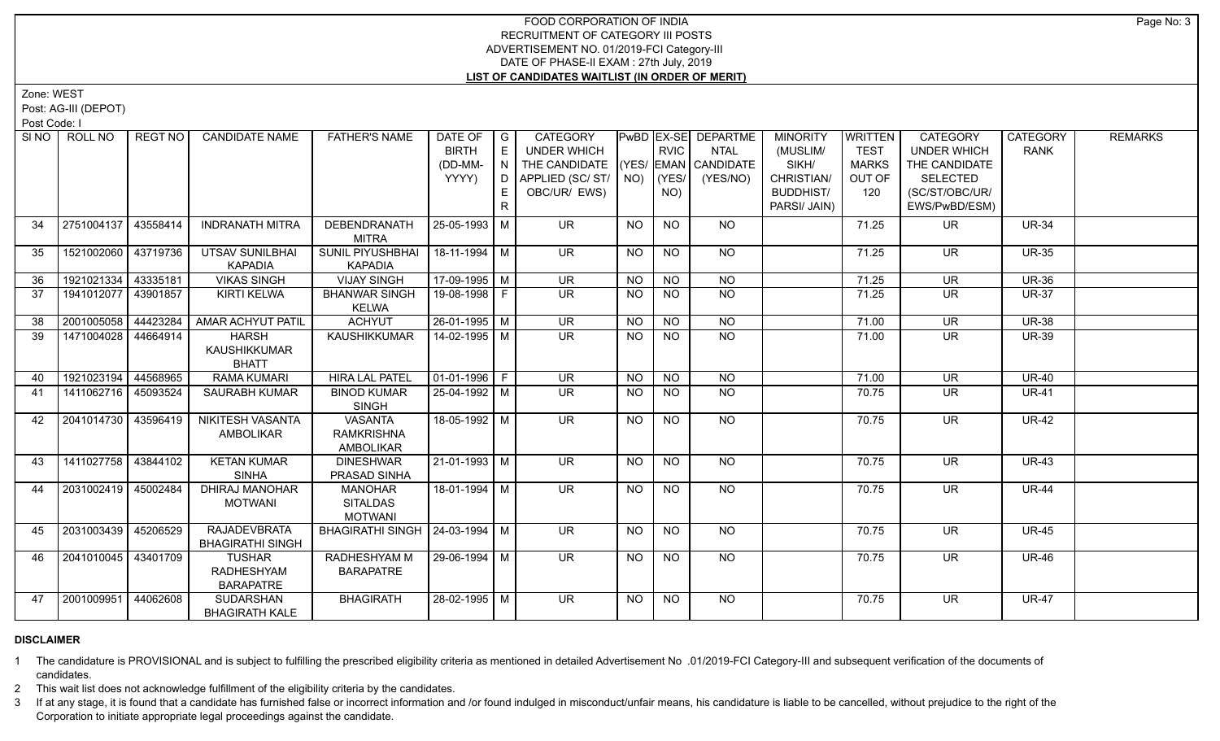Zone: WEST

Post: AG-III (DEPOT)

Post Code: I

|    | SINO   ROLL NO      | REGT NO  | <b>CANDIDATE NAME</b>                               | <b>FATHER'S NAME</b>                                    | DATE OF<br><b>BIRTH</b><br>(DD-MM-<br>YYYY) | $\overline{G}$<br>E<br>N.<br>D.<br>E.<br>R. | <b>CATEGORY</b><br>UNDER WHICH<br>THE CANDIDATE<br>APPLIED (SC/ST/<br>OBC/UR/ EWS) |                | <b>RVIC</b><br>$NO)$ (YES/<br>NO) | PwBD EX-SE DEPARTME<br><b>NTAL</b><br>(YES/ EMAN CANDIDATE<br>(YES/NO) | <b>MINORITY</b><br>(MUSLIM/<br>SIKH/<br>CHRISTIAN/<br><b>BUDDHIST/</b><br>PARSI/ JAIN) | <b>WRITTEN</b><br><b>TEST</b><br><b>MARKS</b><br>OUT OF<br>120 | <b>CATEGORY</b><br><b>UNDER WHICH</b><br>THE CANDIDATE<br><b>SELECTED</b><br>(SC/ST/OBC/UR/<br>EWS/PwBD/ESM) | <b>CATEGORY</b><br><b>RANK</b> | <b>REMARKS</b> |
|----|---------------------|----------|-----------------------------------------------------|---------------------------------------------------------|---------------------------------------------|---------------------------------------------|------------------------------------------------------------------------------------|----------------|-----------------------------------|------------------------------------------------------------------------|----------------------------------------------------------------------------------------|----------------------------------------------------------------|--------------------------------------------------------------------------------------------------------------|--------------------------------|----------------|
| 34 | 2751004137          | 43558414 | <b>INDRANATH MITRA</b>                              | DEBENDRANATH<br>MITRA                                   | 25-05-1993 M                                |                                             | UR.                                                                                | NO             | <b>NO</b>                         | NO.                                                                    |                                                                                        | 71.25                                                          | UR.                                                                                                          | <b>UR-34</b>                   |                |
| 35 | 1521002060          | 43719736 | UTSAV SUNILBHAI<br><b>KAPADIA</b>                   | SUNIL PIYUSHBHAI<br><b>KAPADIA</b>                      | 18-11-1994 M                                |                                             | <b>UR</b>                                                                          | NO             | <b>NO</b>                         | NO.                                                                    |                                                                                        | 71.25                                                          | UR.                                                                                                          | <b>UR-35</b>                   |                |
| 36 | 1921021334          | 43335181 | <b>VIKAS SINGH</b>                                  | <b>VIJAY SINGH</b>                                      | 17-09-1995 M                                |                                             | $\overline{\mathsf{UR}}$                                                           | <b>NO</b>      | <b>NO</b>                         | $N$ <sup>O</sup>                                                       |                                                                                        | 71.25                                                          | <b>UR</b>                                                                                                    | <b>UR-36</b>                   |                |
| 37 | 1941012077          | 43901857 | <b>KIRTI KELWA</b>                                  | <b>BHANWAR SINGH</b><br><b>KELWA</b>                    | 19-08-1998 F                                |                                             | UR.                                                                                | NO.            | NO.                               | <b>NO</b>                                                              |                                                                                        | 71.25                                                          | UR.                                                                                                          | <b>UR-37</b>                   |                |
| 38 | 2001005058          | 44423284 | AMAR ACHYUT PATIL                                   | <b>ACHYUT</b>                                           | 26-01-1995   M                              |                                             | <b>UR</b>                                                                          | NO.            | <b>NO</b>                         | <b>NO</b>                                                              |                                                                                        | 71.00                                                          | <b>UR</b>                                                                                                    | <b>UR-38</b>                   |                |
| 39 | 1471004028          | 44664914 | <b>HARSH</b><br><b>KAUSHIKKUMAR</b><br><b>BHATT</b> | <b>KAUSHIKKUMAR</b>                                     | 14-02-1995   M                              |                                             | UR.                                                                                | NO.            | <b>NO</b>                         | N <sub>O</sub>                                                         |                                                                                        | 71.00                                                          | <b>UR</b>                                                                                                    | <b>UR-39</b>                   |                |
| 40 | 1921023194          | 44568965 | <b>RAMA KUMARI</b>                                  | <b>HIRA LAL PATEL</b>                                   | $ 01-01-1996 F$                             |                                             | $\overline{\mathsf{UR}}$                                                           | <b>NO</b>      | $\overline{NQ}$                   | $\overline{NQ}$                                                        |                                                                                        | 71.00                                                          | <b>UR</b>                                                                                                    | $UR-40$                        |                |
| 41 | 1411062716          | 45093524 | <b>SAURABH KUMAR</b>                                | <b>BINOD KUMAR</b><br><b>SINGH</b>                      | 25-04-1992 M                                |                                             | $\overline{\mathsf{UR}}$                                                           | <b>NO</b>      | $\overline{N}$                    | $\overline{NQ}$                                                        |                                                                                        | 70.75                                                          | $\overline{\mathsf{UR}}$                                                                                     | <b>UR-41</b>                   |                |
| 42 | 2041014730 43596419 |          | <b>NIKITESH VASANTA</b><br><b>AMBOLIKAR</b>         | <b>VASANTA</b><br><b>RAMKRISHNA</b><br><b>AMBOLIKAR</b> | 18-05-1992 M                                |                                             | $\overline{\mathsf{UR}}$                                                           | NO             | N <sub>O</sub>                    | $N$ <sup>O</sup>                                                       |                                                                                        | 70.75                                                          | $\overline{\mathsf{UR}}$                                                                                     | $UR-42$                        |                |
| 43 | 1411027758          | 43844102 | <b>KETAN KUMAR</b><br><b>SINHA</b>                  | <b>DINESHWAR</b><br>PRASAD SINHA                        | 21-01-1993 M                                |                                             | UR.                                                                                | NO.            | <b>NO</b>                         | NO.                                                                    |                                                                                        | 70.75                                                          | UR.                                                                                                          | <b>UR-43</b>                   |                |
| 44 | 2031002419 45002484 |          | <b>DHIRAJ MANOHAR</b><br><b>MOTWANI</b>             | <b>MANOHAR</b><br><b>SITALDAS</b><br><b>MOTWANI</b>     | 18-01-1994 M                                |                                             | $\overline{\mathsf{UR}}$                                                           | N <sub>O</sub> | N <sub>O</sub>                    | N <sub>O</sub>                                                         |                                                                                        | 70.75                                                          | $\overline{\mathsf{UR}}$                                                                                     | $UR-44$                        |                |
| 45 | 2031003439          | 45206529 | <b>RAJADEVBRATA</b><br><b>BHAGIRATHI SINGH</b>      | BHAGIRATHI SINGH   24-03-1994   M                       |                                             |                                             | $\overline{\mathsf{UR}}$                                                           | NO             | NO                                | NO                                                                     |                                                                                        | 70.75                                                          | UR.                                                                                                          | <b>UR-45</b>                   |                |
| 46 | 2041010045 43401709 |          | <b>TUSHAR</b><br>RADHESHYAM<br><b>BARAPATRE</b>     | RADHESHYAM M<br><b>BARAPATRE</b>                        | 29-06-1994 M                                |                                             | UR.                                                                                | NO.            | <b>NO</b>                         | NO.                                                                    |                                                                                        | 70.75                                                          | <b>UR</b>                                                                                                    | <b>UR-46</b>                   |                |
| 47 | 2001009951          | 44062608 | SUDARSHAN<br><b>BHAGIRATH KALE</b>                  | <b>BHAGIRATH</b>                                        | 28-02-1995 M                                |                                             | UR.                                                                                | NO             | <b>NO</b>                         | <b>NO</b>                                                              |                                                                                        | 70.75                                                          | UR.                                                                                                          | <b>UR-47</b>                   |                |

# **DISCLAIMER**

1 The candidature is PROVISIONAL and is subject to fulfilling the prescribed eligibility criteria as mentioned in detailed Advertisement No .01/2019-FCI Category-III and subsequent verification of the documents of candidates.

2 This wait list does not acknowledge fulfillment of the eligibility criteria by the candidates.

3 If at any stage, it is found that a candidate has furnished false or incorrect information and /or found indulged in misconduct/unfair means, his candidature is liable to be cancelled, without prejudice to the right of t Corporation to initiate appropriate legal proceedings against the candidate.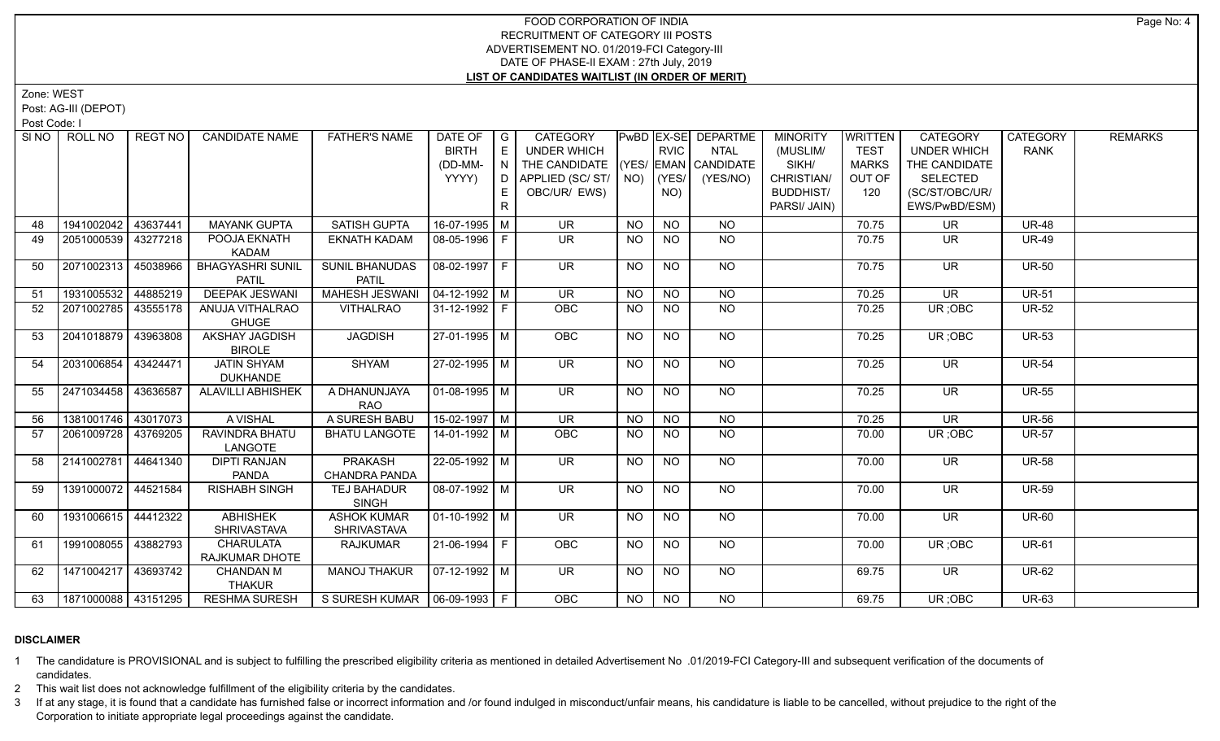Zone: WEST

Post: AG-III (DEPOT)

Post Code: I

| SINO | ROLL NO             | REGT NO  | <b>CANDIDATE NAME</b>    | <b>FATHER'S NAME</b>            | DATE OF                      | $\overline{\phantom{a}}$ G | CATEGORY                           |           |                | PwBD EX-SE DEPARTME | <b>MINORITY</b>                | WRITTEN       | <b>CATEGORY</b>                   | <b>CATEGORY</b> | <b>REMARKS</b> |
|------|---------------------|----------|--------------------------|---------------------------------|------------------------------|----------------------------|------------------------------------|-----------|----------------|---------------------|--------------------------------|---------------|-----------------------------------|-----------------|----------------|
|      |                     |          |                          |                                 | <b>BIRTH</b>                 | E                          | <b>UNDER WHICH</b>                 |           | <b>RVIC</b>    | <b>NTAL</b>         | (MUSLIM/                       | <b>TEST</b>   | <b>UNDER WHICH</b>                | <b>RANK</b>     |                |
|      |                     |          |                          |                                 | (DD-MM-                      |                            | THE CANDIDATE (YES/ EMAN CANDIDATE |           |                |                     | SIKH/                          | <b>MARKS</b>  | THE CANDIDATE                     |                 |                |
|      |                     |          |                          |                                 | YYYY)                        | E.                         | OBC/UR/ EWS)                       |           |                | (YES/NO)            | CHRISTIAN/<br><b>BUDDHIST/</b> | OUT OF<br>120 | <b>SELECTED</b><br>(SC/ST/OBC/UR/ |                 |                |
|      |                     |          |                          |                                 |                              |                            |                                    |           | NO)            |                     |                                |               |                                   |                 |                |
|      |                     |          |                          |                                 |                              | R.                         |                                    |           |                |                     | PARSI/ JAIN)                   |               | EWS/PwBD/ESM)                     |                 |                |
| 48   | 1941002042          | 43637441 | <b>MAYANK GUPTA</b>      | <b>SATISH GUPTA</b>             | 16-07-1995 M                 |                            | <b>UR</b>                          | <b>NO</b> | <b>NO</b>      | NO                  |                                | 70.75         | UR.                               | <b>UR-48</b>    |                |
| 49   | 2051000539 43277218 |          | POOJA EKNATH             | <b>EKNATH KADAM</b>             | 08-05-1996 F                 |                            | <b>UR</b>                          | NO.       | NO.            | NO                  |                                | 70.75         | <b>UR</b>                         | <b>UR-49</b>    |                |
|      |                     |          | KADAM                    |                                 |                              |                            |                                    |           |                |                     |                                |               |                                   |                 |                |
| 50   | 2071002313          | 45038966 | <b>BHAGYASHRI SUNIL</b>  | <b>SUNIL BHANUDAS</b>           | 08-02-1997 F                 |                            | <b>UR</b>                          | <b>NO</b> | <b>NO</b>      | <b>NO</b>           |                                | 70.75         | <b>UR</b>                         | <b>UR-50</b>    |                |
|      |                     |          | <b>PATIL</b>             | <b>PATIL</b>                    |                              |                            |                                    |           |                |                     |                                |               |                                   |                 |                |
| 51   | 1931005532          | 44885219 | <b>DEEPAK JESWANI</b>    | <b>MAHESH JESWANI</b>           | $\vert$ 04-12-1992 $\vert$ M |                            | <b>UR</b>                          | <b>NO</b> | <b>NO</b>      | NO                  |                                | 70.25         | <b>UR</b>                         | <b>UR-51</b>    |                |
| 52   | 2071002785          | 43555178 | ANUJA VITHALRAO          | <b>VITHALRAO</b>                | 31-12-1992 F                 |                            | OBC                                | <b>NO</b> | NO.            | <b>NO</b>           |                                | 70.25         | UR; OBC                           | <b>UR-52</b>    |                |
|      |                     |          | <b>GHUGE</b>             |                                 |                              |                            |                                    |           |                |                     |                                |               |                                   |                 |                |
| 53   | 2041018879          | 43963808 | AKSHAY JAGDISH           | <b>JAGDISH</b>                  | $27-01-1995$ M               |                            | OBC                                | <b>NO</b> | N <sub>O</sub> | NO                  |                                | 70.25         | UR; OBC                           | <b>UR-53</b>    |                |
|      |                     |          | <b>BIROLE</b>            |                                 |                              |                            |                                    |           |                |                     |                                |               |                                   |                 |                |
| 54   | 2031006854          | 43424471 | <b>JATIN SHYAM</b>       | SHYAM                           | 27-02-1995 M                 |                            | $\overline{\mathsf{UR}}$           | NO.       | <b>NO</b>      | NO.                 |                                | 70.25         | <b>UR</b>                         | <b>UR-54</b>    |                |
|      |                     |          | <b>DUKHANDE</b>          |                                 |                              |                            |                                    |           |                |                     |                                |               |                                   |                 |                |
| 55   | 2471034458          | 43636587 | <b>ALAVILLI ABHISHEK</b> | A DHANUNJAYA                    | $\sqrt{01-08-1995}$ M        |                            | $\overline{\mathsf{UR}}$           | <b>NO</b> | N <sub>O</sub> | $N$ <sup>O</sup>    |                                | 70.25         | $\overline{\mathsf{UR}}$          | <b>UR-55</b>    |                |
|      |                     |          |                          | RAO                             |                              |                            |                                    |           |                |                     |                                |               |                                   |                 |                |
| 56   | 1381001746 43017073 |          | <b>A VISHAL</b>          | A SURESH BABU                   | 15-02-1997 M                 |                            | <b>UR</b>                          | <b>NO</b> | <b>NO</b>      | <b>NO</b>           |                                | 70.25         | <b>UR</b>                         | <b>UR-56</b>    |                |
| 57   | 2061009728          | 43769205 | RAVINDRA BHATU           | <b>BHATU LANGOTE</b>            | 14-01-1992 M                 |                            | <b>OBC</b>                         | <b>NO</b> | NO.            | NO                  |                                | 70.00         | UR; OBC                           | <b>UR-57</b>    |                |
|      |                     |          | LANGOTE                  |                                 |                              |                            |                                    |           |                |                     |                                |               |                                   |                 |                |
| 58   | 2141002781 44641340 |          | <b>DIPTI RANJAN</b>      | <b>PRAKASH</b>                  | $22 - 05 - 1992$ M           |                            | <b>UR</b>                          | <b>NO</b> | <b>NO</b>      | NO                  |                                | 70.00         | <b>UR</b>                         | <b>UR-58</b>    |                |
|      |                     |          | <b>PANDA</b>             | CHANDRA PANDA                   |                              |                            |                                    |           |                |                     |                                |               |                                   |                 |                |
| 59   | 1391000072 44521584 |          | <b>RISHABH SINGH</b>     | TEJ BAHADUR                     | 08-07-1992   M               |                            | <b>UR</b>                          | <b>NO</b> | <b>NO</b>      | NO                  |                                | 70.00         | <b>UR</b>                         | <b>UR-59</b>    |                |
|      |                     |          |                          | <b>SINGH</b>                    |                              |                            |                                    |           |                |                     |                                |               |                                   |                 |                |
| 60   | 1931006615 44412322 |          | <b>ABHISHEK</b>          | <b>ASHOK KUMAR</b>              | 01-10-1992   M               |                            | UR.                                | NO.       | <b>NO</b>      | NO.                 |                                | 70.00         | <b>UR</b>                         | <b>UR-60</b>    |                |
|      |                     |          | <b>SHRIVASTAVA</b>       | <b>SHRIVASTAVA</b>              |                              |                            |                                    |           |                |                     |                                |               |                                   |                 |                |
| 61   | 1991008055 43882793 |          | <b>CHARULATA</b>         | <b>RAJKUMAR</b>                 | 21-06-1994 F                 |                            | <b>OBC</b>                         | <b>NO</b> | N <sub>O</sub> | $N$ <sup>O</sup>    |                                | 70.00         | UR; OBC                           | <b>UR-61</b>    |                |
|      |                     |          | RAJKUMAR DHOTE           |                                 |                              |                            |                                    |           |                |                     |                                |               |                                   |                 |                |
| 62   | 1471004217          | 43693742 | <b>CHANDAN M</b>         | <b>MANOJ THAKUR</b>             | 07-12-1992   M               |                            | <b>UR</b>                          | <b>NO</b> | <b>NO</b>      | NO.                 |                                | 69.75         | <b>UR</b>                         | <b>UR-62</b>    |                |
|      |                     |          | <b>THAKUR</b>            |                                 |                              |                            |                                    |           |                |                     |                                |               |                                   |                 |                |
| 63   | 1871000088 43151295 |          | <b>RESHMA SURESH</b>     | S SURESH KUMAR   06-09-1993   F |                              |                            | <b>OBC</b>                         | <b>NO</b> | NO             | $\overline{NO}$     |                                | 69.75         | UR : OBC                          | <b>UR-63</b>    |                |

#### **DISCLAIMER**

1 The candidature is PROVISIONAL and is subject to fulfilling the prescribed eligibility criteria as mentioned in detailed Advertisement No .01/2019-FCI Category-III and subsequent verification of the documents of candidates.

2 This wait list does not acknowledge fulfillment of the eligibility criteria by the candidates.

3 If at any stage, it is found that a candidate has furnished false or incorrect information and /or found indulged in misconduct/unfair means, his candidature is liable to be cancelled, without prejudice to the right of t Corporation to initiate appropriate legal proceedings against the candidate.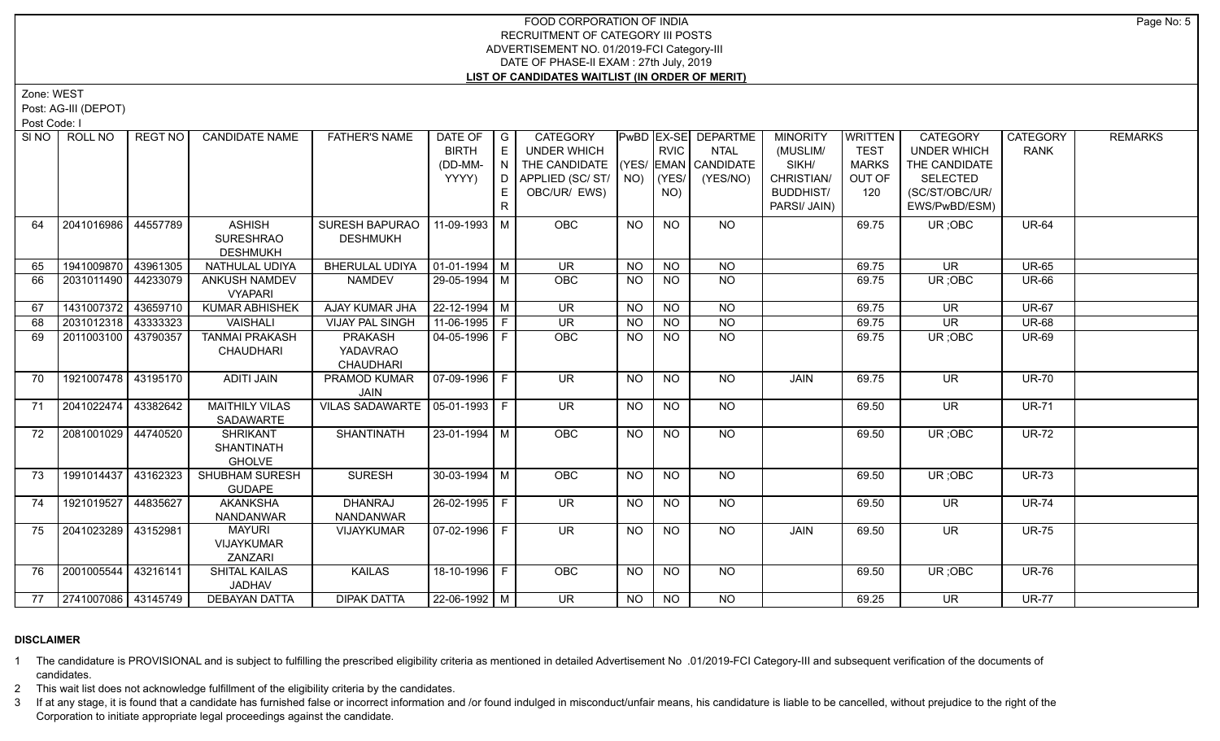Zone: WEST

Post: AG-III (DEPOT)

Post Code: I

| SI NO | ROLL NO             | REGT NO  | <b>CANDIDATE NAME</b>                                 | <b>FATHER'S NAME</b>                                  | DATE OF<br><b>BIRTH</b><br>(DD-MM-<br>YYYY) | $\overline{\phantom{a}}$ G<br>E<br>N<br>D.<br>E<br>R | <b>CATEGORY</b><br><b>UNDER WHICH</b><br>THE CANDIDATE (YES/ EMAN CANDIDATE<br>APPLIED (SC/ST/ NO)<br>OBC/UR/ EWS) |           | <b>RVIC</b><br>(YES/<br>NO) | PwBD EX-SE DEPARTME<br><b>NTAL</b><br>(YES/NO) | <b>MINORITY</b><br>(MUSLIM/<br>SIKH/<br>CHRISTIAN/<br><b>BUDDHIST/</b><br>PARSI/ JAIN) | <b>WRITTEN</b><br><b>TEST</b><br><b>MARKS</b><br>OUT OF<br>120 | <b>CATEGORY</b><br><b>UNDER WHICH</b><br>THE CANDIDATE<br><b>SELECTED</b><br>(SC/ST/OBC/UR/<br>EWS/PwBD/ESM) | <b>CATEGORY</b><br><b>RANK</b> | <b>REMARKS</b> |
|-------|---------------------|----------|-------------------------------------------------------|-------------------------------------------------------|---------------------------------------------|------------------------------------------------------|--------------------------------------------------------------------------------------------------------------------|-----------|-----------------------------|------------------------------------------------|----------------------------------------------------------------------------------------|----------------------------------------------------------------|--------------------------------------------------------------------------------------------------------------|--------------------------------|----------------|
| 64    | 2041016986          | 44557789 | <b>ASHISH</b><br><b>SURESHRAO</b><br><b>DESHMUKH</b>  | SURESH BAPURAO<br><b>DESHMUKH</b>                     | 11-09-1993 M                                |                                                      | <b>OBC</b>                                                                                                         | <b>NO</b> | <b>NO</b>                   | NO                                             |                                                                                        | 69.75                                                          | UR; OBC                                                                                                      | <b>UR-64</b>                   |                |
| 65    | 1941009870          | 43961305 | NATHULAL UDIYA                                        | <b>BHERULAL UDIYA</b>                                 | $ 01-01-1994 $ M                            |                                                      | UR.                                                                                                                | <b>NO</b> | <b>NO</b>                   | NO                                             |                                                                                        | 69.75                                                          | <b>UR</b>                                                                                                    | <b>UR-65</b>                   |                |
| 66    | 2031011490          | 44233079 | ANKUSH NAMDEV<br><b>VYAPARI</b>                       | NAMDEV                                                | 29-05-1994 M                                |                                                      | OBC                                                                                                                | <b>NO</b> | NO.                         | NO                                             |                                                                                        | 69.75                                                          | UR; OBC                                                                                                      | <b>UR-66</b>                   |                |
| 67    | 1431007372          | 43659710 | <b>KUMAR ABHISHEK</b>                                 | AJAY KUMAR JHA                                        | $22 - 12 - 1994$ M                          |                                                      | $\overline{\mathsf{UR}}$                                                                                           | <b>NO</b> | $N$ O                       | $N$ <sup>O</sup>                               |                                                                                        | 69.75                                                          | <b>UR</b>                                                                                                    | <b>UR-67</b>                   |                |
| 68    | 2031012318          | 43333323 | VAISHALI                                              | <b>VIJAY PAL SINGH</b>                                | $11-06-1995$ F                              |                                                      | $\overline{\mathsf{UR}}$                                                                                           | <b>NO</b> | N <sub>O</sub>              | N <sub>O</sub>                                 |                                                                                        | 69.75                                                          | $\overline{\mathsf{UR}}$                                                                                     | $UR-68$                        |                |
| 69    | 2011003100 43790357 |          | <b>TANMAI PRAKASH</b><br><b>CHAUDHARI</b>             | <b>PRAKASH</b><br><b>YADAVRAO</b><br><b>CHAUDHARI</b> | 04-05-1996 F                                |                                                      | OBC                                                                                                                | <b>NO</b> | NO.                         | NO                                             |                                                                                        | 69.75                                                          | UR; OBC                                                                                                      | <b>UR-69</b>                   |                |
| 70    | 1921007478 43195170 |          | <b>ADITI JAIN</b>                                     | PRAMOD KUMAR<br><b>JAIN</b>                           | 07-09-1996 F                                |                                                      | $\overline{\mathsf{UR}}$                                                                                           | <b>NO</b> | $N$ O                       | $N$ O                                          | JAIN                                                                                   | 69.75                                                          | $\overline{\mathsf{UR}}$                                                                                     | <b>UR-70</b>                   |                |
| 71    | 2041022474          | 43382642 | <b>MAITHILY VILAS</b><br>SADAWARTE                    | VILAS SADAWARTE   05-01-1993   F                      |                                             |                                                      | $\overline{\mathsf{UR}}$                                                                                           | <b>NO</b> | $N$ O                       | NO                                             |                                                                                        | 69.50                                                          | <b>UR</b>                                                                                                    | <b>UR-71</b>                   |                |
| 72    | 2081001029 44740520 |          | <b>SHRIKANT</b><br><b>SHANTINATH</b><br><b>GHOLVE</b> | <b>SHANTINATH</b>                                     | 23-01-1994 M                                |                                                      | <b>OBC</b>                                                                                                         | NO.       | <b>NO</b>                   | NO                                             |                                                                                        | 69.50                                                          | UR; OBC                                                                                                      | <b>UR-72</b>                   |                |
| 73    | 1991014437          | 43162323 | <b>SHUBHAM SURESH</b><br><b>GUDAPE</b>                | <b>SURESH</b>                                         | 30-03-1994 M                                |                                                      | <b>OBC</b>                                                                                                         | <b>NO</b> | <b>NO</b>                   | NO                                             |                                                                                        | 69.50                                                          | UR; OBC                                                                                                      | <b>UR-73</b>                   |                |
| 74    | 1921019527          | 44835627 | <b>AKANKSHA</b><br><b>NANDANWAR</b>                   | <b>DHANRAJ</b><br><b>NANDANWAR</b>                    | 26-02-1995 F                                |                                                      | <b>UR</b>                                                                                                          | <b>NO</b> | NO.                         | NO                                             |                                                                                        | 69.50                                                          | <b>UR</b>                                                                                                    | <b>UR-74</b>                   |                |
| 75    | 2041023289          | 43152981 | <b>MAYURI</b><br><b>VIJAYKUMAR</b><br>ZANZARI         | <b>VIJAYKUMAR</b>                                     | 07-02-1996 F                                |                                                      | $\overline{\mathsf{UR}}$                                                                                           | <b>NO</b> | <b>NO</b>                   | $\overline{NO}$                                | JAIN                                                                                   | 69.50                                                          | <b>UR</b>                                                                                                    | <b>UR-75</b>                   |                |
| 76    | 2001005544          | 43216141 | SHITAL KAILAS<br><b>JADHAV</b>                        | <b>KAILAS</b>                                         | 18-10-1996 F                                |                                                      | OBC                                                                                                                | <b>NO</b> | <b>NO</b>                   | NO.                                            |                                                                                        | 69.50                                                          | UR; OBC                                                                                                      | <b>UR-76</b>                   |                |
| 77    | 2741007086 43145749 |          | <b>DEBAYAN DATTA</b>                                  | <b>DIPAK DATTA</b>                                    | 22-06-1992 M                                |                                                      | $\overline{\mathsf{UR}}$                                                                                           | <b>NO</b> | NO                          | $\overline{NO}$                                |                                                                                        | 69.25                                                          | $\overline{\mathsf{UR}}$                                                                                     | <b>UR-77</b>                   |                |

#### **DISCLAIMER**

1 The candidature is PROVISIONAL and is subject to fulfilling the prescribed eligibility criteria as mentioned in detailed Advertisement No .01/2019-FCI Category-III and subsequent verification of the documents of candidates.

2 This wait list does not acknowledge fulfillment of the eligibility criteria by the candidates.

3 If at any stage, it is found that a candidate has furnished false or incorrect information and /or found indulged in misconduct/unfair means, his candidature is liable to be cancelled, without prejudice to the right of t Corporation to initiate appropriate legal proceedings against the candidate.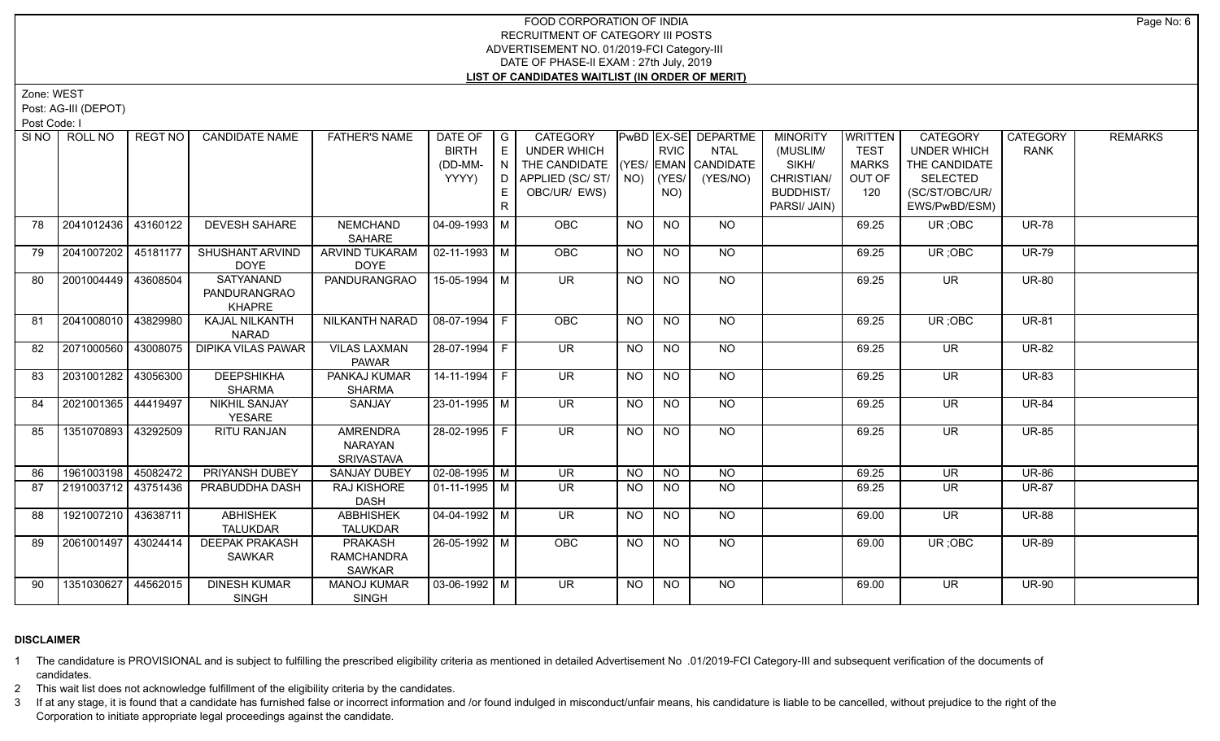Zone: WEST

Post: AG-III (DEPOT)

Post Code: I

| SI NO I | ROLL NO               | REGT NO  | <b>CANDIDATE NAME</b>                             | <b>FATHER'S NAME</b>                                 | DATE OF<br><b>BIRTH</b><br>(DD-MM-<br>YYYY) | $\overline{\phantom{a}}$ G<br>E<br>N<br>D. | CATEGORY<br>UNDER WHICH<br>THE CANDIDATE (YES/ EMAN CANDIDATE<br>APPLIED (SC/ ST/   NO) |           | <b>RVIC</b><br>(YES/ | PwBD EX-SE DEPARTME<br><b>NTAL</b><br>(YES/NO) | <b>MINORITY</b><br>(MUSLIM/<br>SIKH/<br>CHRISTIAN/ | <b>WRITTEN</b><br><b>TEST</b><br><b>MARKS</b><br>OUT OF | <b>CATEGORY</b><br><b>UNDER WHICH</b><br>THE CANDIDATE<br><b>SELECTED</b> | CATEGORY<br><b>RANK</b> | <b>REMARKS</b> |
|---------|-----------------------|----------|---------------------------------------------------|------------------------------------------------------|---------------------------------------------|--------------------------------------------|-----------------------------------------------------------------------------------------|-----------|----------------------|------------------------------------------------|----------------------------------------------------|---------------------------------------------------------|---------------------------------------------------------------------------|-------------------------|----------------|
|         |                       |          |                                                   |                                                      |                                             |                                            | OBC/UR/ EWS)                                                                            |           | NO)                  |                                                | <b>BUDDHIST/</b><br>PARSI/ JAIN)                   | 120                                                     | (SC/ST/OBC/UR/<br>EWS/PwBD/ESM)                                           |                         |                |
| 78      | 2041012436 43160122   |          | <b>DEVESH SAHARE</b>                              | <b>NEMCHAND</b><br><b>SAHARE</b>                     | 04-09-1993 M                                |                                            | <b>OBC</b>                                                                              | <b>NO</b> | NO                   | NO                                             |                                                    | 69.25                                                   | UR; OBC                                                                   | <b>UR-78</b>            |                |
| 79      | 2041007202 45181177   |          | <b>SHUSHANT ARVIND</b><br><b>DOYE</b>             | ARVIND TUKARAM<br><b>DOYE</b>                        | $02 - 11 - 1993$ M                          |                                            | <b>OBC</b>                                                                              | <b>NO</b> | <b>NO</b>            | NO                                             |                                                    | 69.25                                                   | UR; OBC                                                                   | <b>UR-79</b>            |                |
| 80      | 2001004449 43608504   |          | <b>SATYANAND</b><br>PANDURANGRAO<br><b>KHAPRE</b> | <b>PANDURANGRAO</b>                                  | 15-05-1994 M                                |                                            | $\overline{\mathsf{UR}}$                                                                | <b>NO</b> | $\overline{N}$       | N <sub>O</sub>                                 |                                                    | 69.25                                                   | UR.                                                                       | <b>UR-80</b>            |                |
| 81      | 2041008010 43829980   |          | KAJAL NILKANTH<br><b>NARAD</b>                    | NILKANTH NARAD                                       | $08-07-1994$ F                              |                                            | OBC                                                                                     | <b>NO</b> | <b>NO</b>            | <b>NO</b>                                      |                                                    | 69.25                                                   | UR; OBC                                                                   | <b>UR-81</b>            |                |
| 82      | 2071000560 43008075   |          | <b>DIPIKA VILAS PAWAR</b>                         | <b>VILAS LAXMAN</b><br><b>PAWAR</b>                  | 28-07-1994 F                                |                                            | UR.                                                                                     | <b>NO</b> | N                    | NO                                             |                                                    | 69.25                                                   | UR.                                                                       | <b>UR-82</b>            |                |
| 83      | 2031001282 43056300   |          | <b>DEEPSHIKHA</b><br><b>SHARMA</b>                | PANKAJ KUMAR<br><b>SHARMA</b>                        | 14-11-1994 F                                |                                            | <b>UR</b>                                                                               | <b>NO</b> | <b>NO</b>            | NO                                             |                                                    | 69.25                                                   | UR.                                                                       | <b>UR-83</b>            |                |
| 84      | 2021001365 44419497   |          | <b>NIKHIL SANJAY</b><br><b>YESARE</b>             | <b>SANJAY</b>                                        | 23-01-1995 M                                |                                            | UR.                                                                                     | <b>NO</b> | <b>NO</b>            | NO                                             |                                                    | 69.25                                                   | <b>UR</b>                                                                 | <b>UR-84</b>            |                |
| 85      | 1351070893 43292509   |          | <b>RITU RANJAN</b>                                | <b>AMRENDRA</b><br>NARAYAN<br><b>SRIVASTAVA</b>      | 28-02-1995 F                                |                                            | UR                                                                                      | <b>NO</b> | NO                   | NO                                             |                                                    | 69.25                                                   | <b>UR</b>                                                                 | <b>UR-85</b>            |                |
| 86      | 1961003198 45082472   |          | <b>PRIYANSH DUBEY</b>                             | <b>SANJAY DUBEY</b>                                  | $\sqrt{02-08-1995}$ M                       |                                            | $\overline{\mathsf{UR}}$                                                                | <b>NO</b> | $N$ O                | $N$ O                                          |                                                    | 69.25                                                   | $\overline{\mathsf{UR}}$                                                  | <b>UR-86</b>            |                |
| 87      | 2191003712   43751436 |          | PRABUDDHA DASH                                    | <b>RAJ KISHORE</b><br><b>DASH</b>                    | 01-11-1995   M                              |                                            | UR.                                                                                     | NO.       | <b>NO</b>            | <b>NO</b>                                      |                                                    | 69.25                                                   | <b>UR</b>                                                                 | <b>UR-87</b>            |                |
| 88      | 1921007210 43638711   |          | <b>ABHISHEK</b><br><b>TALUKDAR</b>                | <b>ABBHISHEK</b><br><b>TALUKDAR</b>                  | $04 - 04 - 1992$ M                          |                                            | UR                                                                                      | <b>NO</b> | $N$ O                | NO                                             |                                                    | 69.00                                                   | UR.                                                                       | <b>UR-88</b>            |                |
| 89      | 2061001497 43024414   |          | <b>DEEPAK PRAKASH</b><br>SAWKAR                   | <b>PRAKASH</b><br><b>RAMCHANDRA</b><br><b>SAWKAR</b> | 26-05-1992 M                                |                                            | OBC                                                                                     | NO.       | <b>NO</b>            | NO                                             |                                                    | 69.00                                                   | UR; OBC                                                                   | <b>UR-89</b>            |                |
| 90      | 1351030627            | 44562015 | <b>DINESH KUMAR</b><br><b>SINGH</b>               | <b>MANOJ KUMAR</b><br><b>SINGH</b>                   | 03-06-1992   M                              |                                            | UR.                                                                                     | <b>NO</b> | <b>NO</b>            | NO                                             |                                                    | 69.00                                                   | UR.                                                                       | <b>UR-90</b>            |                |

# **DISCLAIMER**

1 The candidature is PROVISIONAL and is subject to fulfilling the prescribed eligibility criteria as mentioned in detailed Advertisement No .01/2019-FCI Category-III and subsequent verification of the documents of candidates.

2 This wait list does not acknowledge fulfillment of the eligibility criteria by the candidates.

3 If at any stage, it is found that a candidate has furnished false or incorrect information and /or found indulged in misconduct/unfair means, his candidature is liable to be cancelled, without prejudice to the right of t Corporation to initiate appropriate legal proceedings against the candidate.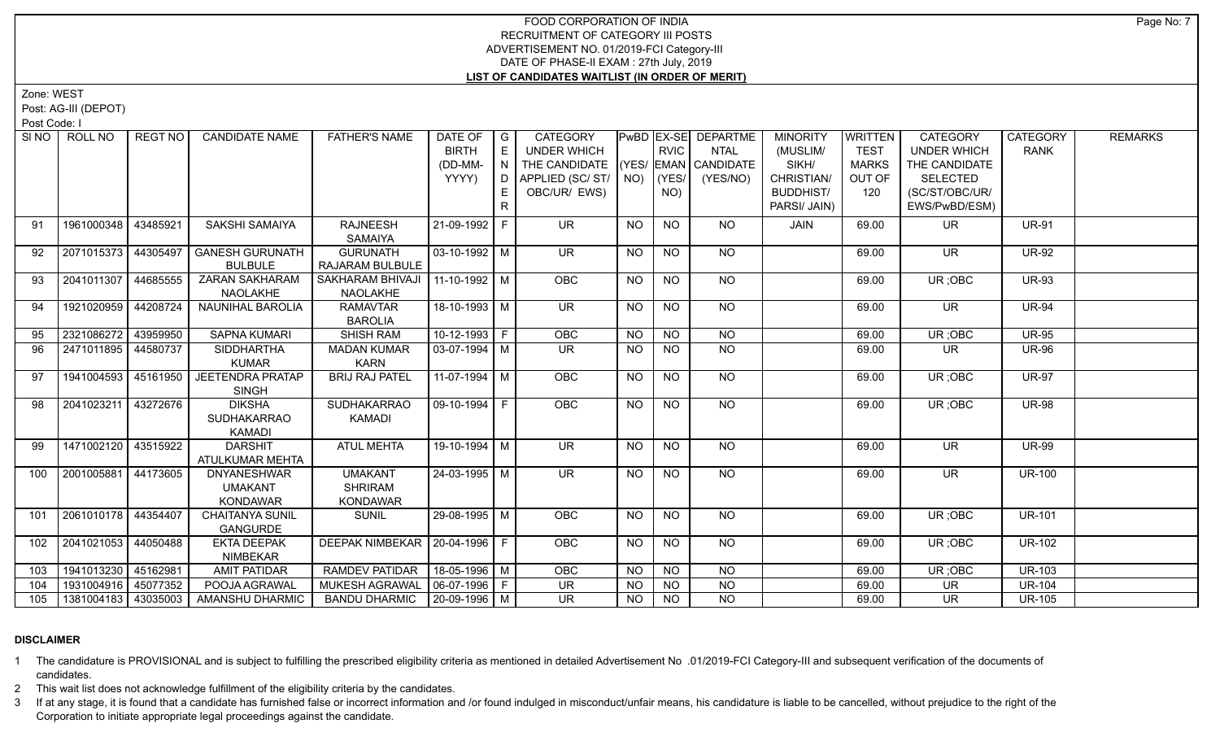Zone: WEST

Post: AG-III (DEPOT)

Post Code: I

| <b>BIRTH</b><br>E<br><b>RVIC</b><br><b>UNDER WHICH</b><br>(MUSLIM/<br><b>TEST</b><br><b>UNDER WHICH</b><br><b>RANK</b><br><b>NTAL</b><br>(YES/ EMAN CANDIDATE<br>(DD-MM-<br>N<br>THE CANDIDATE<br>SIKH/<br>THE CANDIDATE<br><b>MARKS</b><br>YYYY)<br>$NO)$ (YES/<br>CHRISTIAN/<br>OUT OF<br>APPLIED (SC/ST/<br>(YES/NO)<br><b>SELECTED</b><br>D<br>OBC/UR/ EWS)<br><b>BUDDHIST/</b><br>(SC/ST/OBC/UR/<br>NO)<br>120<br>E.<br>PARSI/ JAIN)<br>EWS/PwBD/ESM)<br><b>NO</b><br>1961000348<br>43485921<br>SAKSHI SAMAIYA<br><b>RAJNEESH</b><br>21-09-1992 F<br>UR.<br>NO<br><b>UR</b><br><b>UR-91</b><br>91<br>NO.<br>JAIN<br>69.00<br>SAMAIYA<br><b>GANESH GURUNATH</b><br>$03 - 10 - 1992$ M<br><b>UR</b><br><b>NO</b><br>2071015373 44305497<br><b>GURUNATH</b><br><b>NO</b><br><b>NO</b><br><b>UR</b><br><b>UR-92</b><br>92<br>69.00<br>RAJARAM BULBULE<br><b>BULBULE</b><br>44685555<br><b>ZARAN SAKHARAM</b><br>SAKHARAM BHIVAJI  <br>11-10-1992 M<br>OBC<br><b>NO</b><br><b>NO</b><br><b>NO</b><br>UR; OBC<br><b>UR-93</b><br>2041011307<br>93<br>69.00<br><b>NAOLAKHE</b><br><b>NAOLAKHE</b><br>1921020959<br>44208724<br><b>RAMAVTAR</b><br>18-10-1993 M<br>$\overline{\mathsf{UR}}$<br>$\overline{NO}$<br>$N$ <sup>O</sup><br>$\overline{\mathsf{UR}}$<br><b>UR-94</b><br>NAUNIHAL BAROLIA<br>NO<br>94<br>69.00<br><b>BAROLIA</b><br>$10-12-1993$ F<br>2321086272<br>43959950<br><b>SAPNA KUMARI</b><br><b>SHISH RAM</b><br>OBC<br>N<br>$N$ O<br><b>UR-95</b><br>95<br><b>NO</b><br>69.00<br>UR; OBC<br>N <sub>O</sub><br>96<br>2471011895<br>44580737<br><b>SIDDHARTHA</b><br><b>MADAN KUMAR</b><br>$03-07-1994$   M<br>UR.<br><b>NO</b><br><b>UR-96</b><br><b>NO</b><br>UR<br>69.00<br><b>KUMAR</b><br><b>KARN</b><br>1941004593<br>45161950<br><b>JEETENDRA PRATAP</b><br>11-07-1994 M<br><b>NO</b><br>NO<br><b>BRIJ RAJ PATEL</b><br>OBC<br><b>NO</b><br>UR; OBC<br><b>UR-97</b><br>97<br>69.00<br><b>SINGH</b><br>43272676<br><b>DIKSHA</b><br><b>NO</b><br><b>NO</b><br>2041023211<br><b>SUDHAKARRAO</b><br>09-10-1994 F<br>OBC<br><b>NO</b><br>UR; OBC<br><b>UR-98</b><br>98<br>69.00<br>SUDHAKARRAO<br><b>KAMADI</b><br><b>KAMADI</b><br>19-10-1994 M<br>N <sub>O</sub><br>1471002120 43515922<br><b>DARSHIT</b><br><b>ATUL MEHTA</b><br>UR.<br><b>NO</b><br>NO<br><b>UR</b><br><b>UR-99</b><br>99<br>69.00<br>ATULKUMAR MEHTA<br>2001005881<br>44173605<br>24-03-1995 M<br><b>UR</b><br><b>NO</b><br><b>UR-100</b><br><b>DNYANESHWAR</b><br><b>UMAKANT</b><br>NO.<br><b>NO</b><br>UR.<br>69.00<br>100<br><b>SHRIRAM</b><br>UMAKANT<br><b>KONDAWAR</b><br><b>KONDAWAR</b><br>2061010178 44354407<br>$N$ O<br><b>CHAITANYA SUNIL</b><br>29-08-1995   M<br>OBC<br><b>NO</b><br><b>NO</b><br>UR; OBC<br><b>UR-101</b><br>SUNIL<br>69.00<br>101<br><b>GANGURDE</b><br>2041021053<br>44050488<br><b>EKTA DEEPAK</b><br>DEEPAK NIMBEKAR   20-04-1996   F<br><b>OBC</b><br>NO.<br>NO.<br>NO.<br>UR; OBC<br><b>UR-102</b><br>102<br>69.00<br>NIMBEKAR | <b>REMARKS</b> |
|------------------------------------------------------------------------------------------------------------------------------------------------------------------------------------------------------------------------------------------------------------------------------------------------------------------------------------------------------------------------------------------------------------------------------------------------------------------------------------------------------------------------------------------------------------------------------------------------------------------------------------------------------------------------------------------------------------------------------------------------------------------------------------------------------------------------------------------------------------------------------------------------------------------------------------------------------------------------------------------------------------------------------------------------------------------------------------------------------------------------------------------------------------------------------------------------------------------------------------------------------------------------------------------------------------------------------------------------------------------------------------------------------------------------------------------------------------------------------------------------------------------------------------------------------------------------------------------------------------------------------------------------------------------------------------------------------------------------------------------------------------------------------------------------------------------------------------------------------------------------------------------------------------------------------------------------------------------------------------------------------------------------------------------------------------------------------------------------------------------------------------------------------------------------------------------------------------------------------------------------------------------------------------------------------------------------------------------------------------------------------------------------------------------------------------------------------------------------------------------------------------------------------------------------------------------------------------------------------------------------------------------------------------------------------------------------------------------------------------------------------------------------------------------------------------------------------------------------------------------------------------------------------------------------------------------------------------|----------------|
|                                                                                                                                                                                                                                                                                                                                                                                                                                                                                                                                                                                                                                                                                                                                                                                                                                                                                                                                                                                                                                                                                                                                                                                                                                                                                                                                                                                                                                                                                                                                                                                                                                                                                                                                                                                                                                                                                                                                                                                                                                                                                                                                                                                                                                                                                                                                                                                                                                                                                                                                                                                                                                                                                                                                                                                                                                                                                                                                                            |                |
|                                                                                                                                                                                                                                                                                                                                                                                                                                                                                                                                                                                                                                                                                                                                                                                                                                                                                                                                                                                                                                                                                                                                                                                                                                                                                                                                                                                                                                                                                                                                                                                                                                                                                                                                                                                                                                                                                                                                                                                                                                                                                                                                                                                                                                                                                                                                                                                                                                                                                                                                                                                                                                                                                                                                                                                                                                                                                                                                                            |                |
|                                                                                                                                                                                                                                                                                                                                                                                                                                                                                                                                                                                                                                                                                                                                                                                                                                                                                                                                                                                                                                                                                                                                                                                                                                                                                                                                                                                                                                                                                                                                                                                                                                                                                                                                                                                                                                                                                                                                                                                                                                                                                                                                                                                                                                                                                                                                                                                                                                                                                                                                                                                                                                                                                                                                                                                                                                                                                                                                                            |                |
|                                                                                                                                                                                                                                                                                                                                                                                                                                                                                                                                                                                                                                                                                                                                                                                                                                                                                                                                                                                                                                                                                                                                                                                                                                                                                                                                                                                                                                                                                                                                                                                                                                                                                                                                                                                                                                                                                                                                                                                                                                                                                                                                                                                                                                                                                                                                                                                                                                                                                                                                                                                                                                                                                                                                                                                                                                                                                                                                                            |                |
|                                                                                                                                                                                                                                                                                                                                                                                                                                                                                                                                                                                                                                                                                                                                                                                                                                                                                                                                                                                                                                                                                                                                                                                                                                                                                                                                                                                                                                                                                                                                                                                                                                                                                                                                                                                                                                                                                                                                                                                                                                                                                                                                                                                                                                                                                                                                                                                                                                                                                                                                                                                                                                                                                                                                                                                                                                                                                                                                                            |                |
|                                                                                                                                                                                                                                                                                                                                                                                                                                                                                                                                                                                                                                                                                                                                                                                                                                                                                                                                                                                                                                                                                                                                                                                                                                                                                                                                                                                                                                                                                                                                                                                                                                                                                                                                                                                                                                                                                                                                                                                                                                                                                                                                                                                                                                                                                                                                                                                                                                                                                                                                                                                                                                                                                                                                                                                                                                                                                                                                                            |                |
|                                                                                                                                                                                                                                                                                                                                                                                                                                                                                                                                                                                                                                                                                                                                                                                                                                                                                                                                                                                                                                                                                                                                                                                                                                                                                                                                                                                                                                                                                                                                                                                                                                                                                                                                                                                                                                                                                                                                                                                                                                                                                                                                                                                                                                                                                                                                                                                                                                                                                                                                                                                                                                                                                                                                                                                                                                                                                                                                                            |                |
|                                                                                                                                                                                                                                                                                                                                                                                                                                                                                                                                                                                                                                                                                                                                                                                                                                                                                                                                                                                                                                                                                                                                                                                                                                                                                                                                                                                                                                                                                                                                                                                                                                                                                                                                                                                                                                                                                                                                                                                                                                                                                                                                                                                                                                                                                                                                                                                                                                                                                                                                                                                                                                                                                                                                                                                                                                                                                                                                                            |                |
|                                                                                                                                                                                                                                                                                                                                                                                                                                                                                                                                                                                                                                                                                                                                                                                                                                                                                                                                                                                                                                                                                                                                                                                                                                                                                                                                                                                                                                                                                                                                                                                                                                                                                                                                                                                                                                                                                                                                                                                                                                                                                                                                                                                                                                                                                                                                                                                                                                                                                                                                                                                                                                                                                                                                                                                                                                                                                                                                                            |                |
|                                                                                                                                                                                                                                                                                                                                                                                                                                                                                                                                                                                                                                                                                                                                                                                                                                                                                                                                                                                                                                                                                                                                                                                                                                                                                                                                                                                                                                                                                                                                                                                                                                                                                                                                                                                                                                                                                                                                                                                                                                                                                                                                                                                                                                                                                                                                                                                                                                                                                                                                                                                                                                                                                                                                                                                                                                                                                                                                                            |                |
|                                                                                                                                                                                                                                                                                                                                                                                                                                                                                                                                                                                                                                                                                                                                                                                                                                                                                                                                                                                                                                                                                                                                                                                                                                                                                                                                                                                                                                                                                                                                                                                                                                                                                                                                                                                                                                                                                                                                                                                                                                                                                                                                                                                                                                                                                                                                                                                                                                                                                                                                                                                                                                                                                                                                                                                                                                                                                                                                                            |                |
|                                                                                                                                                                                                                                                                                                                                                                                                                                                                                                                                                                                                                                                                                                                                                                                                                                                                                                                                                                                                                                                                                                                                                                                                                                                                                                                                                                                                                                                                                                                                                                                                                                                                                                                                                                                                                                                                                                                                                                                                                                                                                                                                                                                                                                                                                                                                                                                                                                                                                                                                                                                                                                                                                                                                                                                                                                                                                                                                                            |                |
|                                                                                                                                                                                                                                                                                                                                                                                                                                                                                                                                                                                                                                                                                                                                                                                                                                                                                                                                                                                                                                                                                                                                                                                                                                                                                                                                                                                                                                                                                                                                                                                                                                                                                                                                                                                                                                                                                                                                                                                                                                                                                                                                                                                                                                                                                                                                                                                                                                                                                                                                                                                                                                                                                                                                                                                                                                                                                                                                                            |                |
|                                                                                                                                                                                                                                                                                                                                                                                                                                                                                                                                                                                                                                                                                                                                                                                                                                                                                                                                                                                                                                                                                                                                                                                                                                                                                                                                                                                                                                                                                                                                                                                                                                                                                                                                                                                                                                                                                                                                                                                                                                                                                                                                                                                                                                                                                                                                                                                                                                                                                                                                                                                                                                                                                                                                                                                                                                                                                                                                                            |                |
|                                                                                                                                                                                                                                                                                                                                                                                                                                                                                                                                                                                                                                                                                                                                                                                                                                                                                                                                                                                                                                                                                                                                                                                                                                                                                                                                                                                                                                                                                                                                                                                                                                                                                                                                                                                                                                                                                                                                                                                                                                                                                                                                                                                                                                                                                                                                                                                                                                                                                                                                                                                                                                                                                                                                                                                                                                                                                                                                                            |                |
|                                                                                                                                                                                                                                                                                                                                                                                                                                                                                                                                                                                                                                                                                                                                                                                                                                                                                                                                                                                                                                                                                                                                                                                                                                                                                                                                                                                                                                                                                                                                                                                                                                                                                                                                                                                                                                                                                                                                                                                                                                                                                                                                                                                                                                                                                                                                                                                                                                                                                                                                                                                                                                                                                                                                                                                                                                                                                                                                                            |                |
|                                                                                                                                                                                                                                                                                                                                                                                                                                                                                                                                                                                                                                                                                                                                                                                                                                                                                                                                                                                                                                                                                                                                                                                                                                                                                                                                                                                                                                                                                                                                                                                                                                                                                                                                                                                                                                                                                                                                                                                                                                                                                                                                                                                                                                                                                                                                                                                                                                                                                                                                                                                                                                                                                                                                                                                                                                                                                                                                                            |                |
|                                                                                                                                                                                                                                                                                                                                                                                                                                                                                                                                                                                                                                                                                                                                                                                                                                                                                                                                                                                                                                                                                                                                                                                                                                                                                                                                                                                                                                                                                                                                                                                                                                                                                                                                                                                                                                                                                                                                                                                                                                                                                                                                                                                                                                                                                                                                                                                                                                                                                                                                                                                                                                                                                                                                                                                                                                                                                                                                                            |                |
|                                                                                                                                                                                                                                                                                                                                                                                                                                                                                                                                                                                                                                                                                                                                                                                                                                                                                                                                                                                                                                                                                                                                                                                                                                                                                                                                                                                                                                                                                                                                                                                                                                                                                                                                                                                                                                                                                                                                                                                                                                                                                                                                                                                                                                                                                                                                                                                                                                                                                                                                                                                                                                                                                                                                                                                                                                                                                                                                                            |                |
|                                                                                                                                                                                                                                                                                                                                                                                                                                                                                                                                                                                                                                                                                                                                                                                                                                                                                                                                                                                                                                                                                                                                                                                                                                                                                                                                                                                                                                                                                                                                                                                                                                                                                                                                                                                                                                                                                                                                                                                                                                                                                                                                                                                                                                                                                                                                                                                                                                                                                                                                                                                                                                                                                                                                                                                                                                                                                                                                                            |                |
|                                                                                                                                                                                                                                                                                                                                                                                                                                                                                                                                                                                                                                                                                                                                                                                                                                                                                                                                                                                                                                                                                                                                                                                                                                                                                                                                                                                                                                                                                                                                                                                                                                                                                                                                                                                                                                                                                                                                                                                                                                                                                                                                                                                                                                                                                                                                                                                                                                                                                                                                                                                                                                                                                                                                                                                                                                                                                                                                                            |                |
|                                                                                                                                                                                                                                                                                                                                                                                                                                                                                                                                                                                                                                                                                                                                                                                                                                                                                                                                                                                                                                                                                                                                                                                                                                                                                                                                                                                                                                                                                                                                                                                                                                                                                                                                                                                                                                                                                                                                                                                                                                                                                                                                                                                                                                                                                                                                                                                                                                                                                                                                                                                                                                                                                                                                                                                                                                                                                                                                                            |                |
|                                                                                                                                                                                                                                                                                                                                                                                                                                                                                                                                                                                                                                                                                                                                                                                                                                                                                                                                                                                                                                                                                                                                                                                                                                                                                                                                                                                                                                                                                                                                                                                                                                                                                                                                                                                                                                                                                                                                                                                                                                                                                                                                                                                                                                                                                                                                                                                                                                                                                                                                                                                                                                                                                                                                                                                                                                                                                                                                                            |                |
|                                                                                                                                                                                                                                                                                                                                                                                                                                                                                                                                                                                                                                                                                                                                                                                                                                                                                                                                                                                                                                                                                                                                                                                                                                                                                                                                                                                                                                                                                                                                                                                                                                                                                                                                                                                                                                                                                                                                                                                                                                                                                                                                                                                                                                                                                                                                                                                                                                                                                                                                                                                                                                                                                                                                                                                                                                                                                                                                                            |                |
|                                                                                                                                                                                                                                                                                                                                                                                                                                                                                                                                                                                                                                                                                                                                                                                                                                                                                                                                                                                                                                                                                                                                                                                                                                                                                                                                                                                                                                                                                                                                                                                                                                                                                                                                                                                                                                                                                                                                                                                                                                                                                                                                                                                                                                                                                                                                                                                                                                                                                                                                                                                                                                                                                                                                                                                                                                                                                                                                                            |                |
|                                                                                                                                                                                                                                                                                                                                                                                                                                                                                                                                                                                                                                                                                                                                                                                                                                                                                                                                                                                                                                                                                                                                                                                                                                                                                                                                                                                                                                                                                                                                                                                                                                                                                                                                                                                                                                                                                                                                                                                                                                                                                                                                                                                                                                                                                                                                                                                                                                                                                                                                                                                                                                                                                                                                                                                                                                                                                                                                                            |                |
|                                                                                                                                                                                                                                                                                                                                                                                                                                                                                                                                                                                                                                                                                                                                                                                                                                                                                                                                                                                                                                                                                                                                                                                                                                                                                                                                                                                                                                                                                                                                                                                                                                                                                                                                                                                                                                                                                                                                                                                                                                                                                                                                                                                                                                                                                                                                                                                                                                                                                                                                                                                                                                                                                                                                                                                                                                                                                                                                                            |                |
|                                                                                                                                                                                                                                                                                                                                                                                                                                                                                                                                                                                                                                                                                                                                                                                                                                                                                                                                                                                                                                                                                                                                                                                                                                                                                                                                                                                                                                                                                                                                                                                                                                                                                                                                                                                                                                                                                                                                                                                                                                                                                                                                                                                                                                                                                                                                                                                                                                                                                                                                                                                                                                                                                                                                                                                                                                                                                                                                                            |                |
|                                                                                                                                                                                                                                                                                                                                                                                                                                                                                                                                                                                                                                                                                                                                                                                                                                                                                                                                                                                                                                                                                                                                                                                                                                                                                                                                                                                                                                                                                                                                                                                                                                                                                                                                                                                                                                                                                                                                                                                                                                                                                                                                                                                                                                                                                                                                                                                                                                                                                                                                                                                                                                                                                                                                                                                                                                                                                                                                                            |                |
|                                                                                                                                                                                                                                                                                                                                                                                                                                                                                                                                                                                                                                                                                                                                                                                                                                                                                                                                                                                                                                                                                                                                                                                                                                                                                                                                                                                                                                                                                                                                                                                                                                                                                                                                                                                                                                                                                                                                                                                                                                                                                                                                                                                                                                                                                                                                                                                                                                                                                                                                                                                                                                                                                                                                                                                                                                                                                                                                                            |                |
| 1941013230<br>45162981<br><b>RAMDEV PATIDAR</b><br>18-05-1996 M<br>$\overline{N}$<br>N <sub>O</sub><br>$\overline{NQ}$<br><b>AMIT PATIDAR</b><br>OBC<br>69.00<br>UR; OBC<br><b>UR-103</b><br>103                                                                                                                                                                                                                                                                                                                                                                                                                                                                                                                                                                                                                                                                                                                                                                                                                                                                                                                                                                                                                                                                                                                                                                                                                                                                                                                                                                                                                                                                                                                                                                                                                                                                                                                                                                                                                                                                                                                                                                                                                                                                                                                                                                                                                                                                                                                                                                                                                                                                                                                                                                                                                                                                                                                                                           |                |
| 1931004916 45077352<br>POOJA AGRAWAL<br>MUKESH AGRAWAL<br>$06-07-1996$ F<br><b>UR</b><br><b>NO</b><br><b>UR</b><br><b>UR-104</b><br><b>NO</b><br>104<br><b>NO</b><br>69.00                                                                                                                                                                                                                                                                                                                                                                                                                                                                                                                                                                                                                                                                                                                                                                                                                                                                                                                                                                                                                                                                                                                                                                                                                                                                                                                                                                                                                                                                                                                                                                                                                                                                                                                                                                                                                                                                                                                                                                                                                                                                                                                                                                                                                                                                                                                                                                                                                                                                                                                                                                                                                                                                                                                                                                                 |                |
| 20-09-1996 M<br>$\overline{\mathsf{UR}}$<br>N <sub>O</sub><br>$\overline{NO}$<br>  1381004183   43035003  <br><b>AMANSHU DHARMIC</b><br><b>NO</b><br><b>UR</b><br><b>BANDU DHARMIC</b><br>69.00<br><b>UR-105</b><br>105                                                                                                                                                                                                                                                                                                                                                                                                                                                                                                                                                                                                                                                                                                                                                                                                                                                                                                                                                                                                                                                                                                                                                                                                                                                                                                                                                                                                                                                                                                                                                                                                                                                                                                                                                                                                                                                                                                                                                                                                                                                                                                                                                                                                                                                                                                                                                                                                                                                                                                                                                                                                                                                                                                                                    |                |

#### **DISCLAIMER**

1 The candidature is PROVISIONAL and is subject to fulfilling the prescribed eligibility criteria as mentioned in detailed Advertisement No .01/2019-FCI Category-III and subsequent verification of the documents of candidates.

2 This wait list does not acknowledge fulfillment of the eligibility criteria by the candidates.

3 If at any stage, it is found that a candidate has furnished false or incorrect information and /or found indulged in misconduct/unfair means, his candidature is liable to be cancelled, without prejudice to the right of t Corporation to initiate appropriate legal proceedings against the candidate.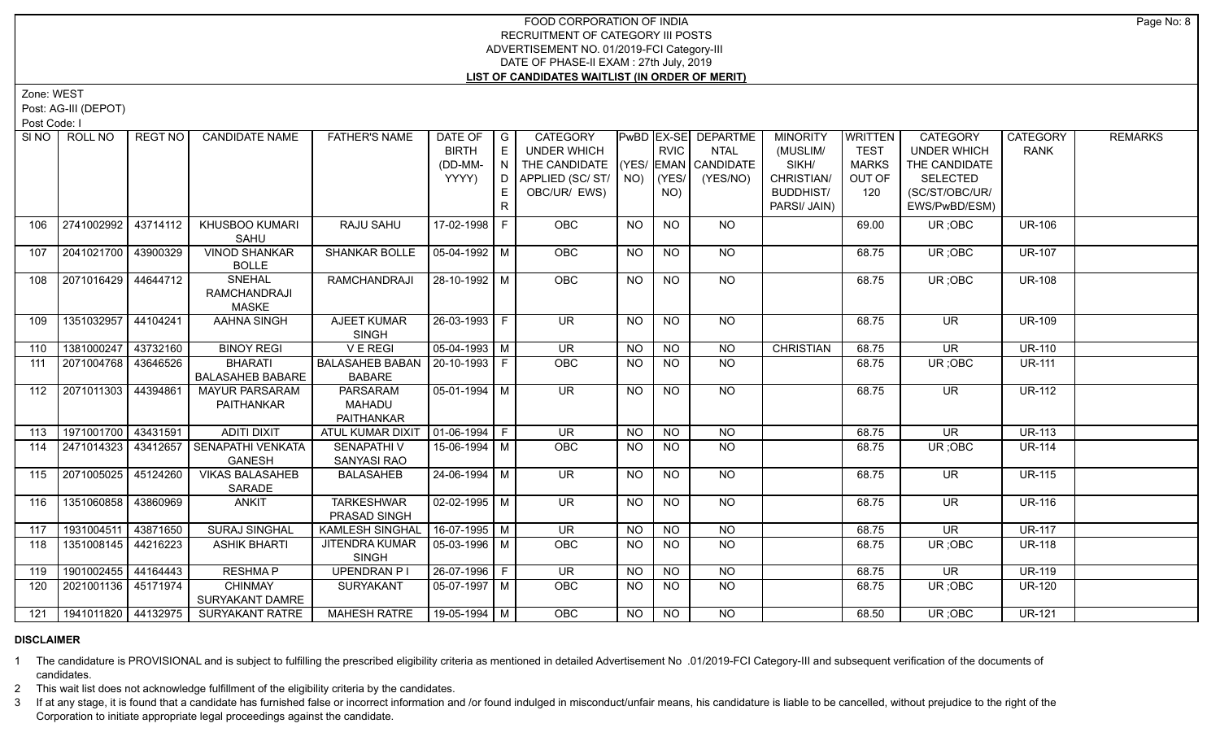Zone: WEST

Post: AG-III (DEPOT)

Post Code: I

| SI NO | ROLL NO                     | REGT NO  | <b>CANDIDATE NAME</b>    | <b>FATHER'S NAME</b>             | DATE OF<br><b>BIRTH</b><br>(DD-MM- | $\overline{G}$<br>E<br>N | <b>CATEGORY</b><br><b>UNDER WHICH</b><br>THE CANDIDATE |           | <b>RVIC</b>    | <b>PwBD EX-SE DEPARTME</b><br><b>NTAL</b><br>(YES/ EMAN CANDIDATE | <b>MINORITY</b><br>(MUSLIM/<br>SIKH/ | <b>WRITTEN</b><br><b>TEST</b><br><b>MARKS</b> | <b>CATEGORY</b><br><b>UNDER WHICH</b><br>THE CANDIDATE | <b>CATEGORY</b><br><b>RANK</b> | <b>REMARKS</b> |
|-------|-----------------------------|----------|--------------------------|----------------------------------|------------------------------------|--------------------------|--------------------------------------------------------|-----------|----------------|-------------------------------------------------------------------|--------------------------------------|-----------------------------------------------|--------------------------------------------------------|--------------------------------|----------------|
|       |                             |          |                          |                                  | YYYY)                              | D                        | APPLIED (SC/ST/                                        | NO)       | YES/           | (YES/NO)                                                          | CHRISTIAN/                           | OUT OF                                        | <b>SELECTED</b>                                        |                                |                |
|       |                             |          |                          |                                  |                                    | E.                       | OBC/UR/ EWS)                                           |           | NO)            |                                                                   | <b>BUDDHIST/</b>                     | 120                                           | (SC/ST/OBC/UR/                                         |                                |                |
|       |                             |          |                          |                                  |                                    | R                        |                                                        |           |                |                                                                   | PARSI/ JAIN)                         |                                               | EWS/PwBD/ESM)                                          |                                |                |
| 106   | 2741002992                  | 43714112 | <b>KHUSBOO KUMARI</b>    | RAJU SAHU                        | 17-02-1998                         | F                        | <b>OBC</b>                                             | NO        | <b>NO</b>      | NO                                                                |                                      | 69.00                                         | UR; OBC                                                | <b>UR-106</b>                  |                |
|       |                             |          | SAHU                     |                                  |                                    |                          |                                                        |           |                |                                                                   |                                      |                                               |                                                        |                                |                |
| 107   | 2041021700 43900329         |          | <b>VINOD SHANKAR</b>     | SHANKAR BOLLE                    | 05-04-1992 M                       |                          | OBC                                                    | <b>NO</b> | <b>NO</b>      | <b>NO</b>                                                         |                                      | 68.75                                         | UR; OBC                                                | <b>UR-107</b>                  |                |
|       |                             |          | <b>BOLLE</b>             |                                  |                                    |                          |                                                        |           |                |                                                                   |                                      |                                               |                                                        |                                |                |
| 108   | 2071016429                  | 44644712 | <b>SNEHAL</b>            | RAMCHANDRAJI                     | 28-10-1992 M                       |                          | OBC                                                    | NO.       | <b>NO</b>      | $\overline{NQ}$                                                   |                                      | 68.75                                         | UR; OBC                                                | <b>UR-108</b>                  |                |
|       |                             |          | RAMCHANDRAJI             |                                  |                                    |                          |                                                        |           |                |                                                                   |                                      |                                               |                                                        |                                |                |
|       |                             |          | <b>MASKE</b>             |                                  |                                    |                          |                                                        |           |                |                                                                   |                                      |                                               |                                                        |                                |                |
| 109   | 1351032957                  | 44104241 | <b>AAHNA SINGH</b>       | AJEET KUMAR                      | 26-03-1993 F                       |                          | <b>UR</b>                                              | <b>NO</b> | <b>NO</b>      | NO                                                                |                                      | 68.75                                         | <b>UR</b>                                              | <b>UR-109</b>                  |                |
|       |                             |          |                          | <b>SINGH</b>                     |                                    |                          |                                                        |           |                |                                                                   |                                      |                                               |                                                        |                                |                |
| 110   | 1381000247                  | 43732160 | <b>BINOY REGI</b>        | <b>VE REGI</b>                   | $05-04-1993$ M                     |                          | <b>UR</b>                                              | <b>NO</b> | <b>NO</b>      | <b>NO</b>                                                         | <b>CHRISTIAN</b>                     | 68.75                                         | <b>UR</b>                                              | <b>UR-110</b>                  |                |
| 111   | 2071004768                  | 43646526 | <b>BHARATI</b>           | BALASAHEB BABAN   20-10-1993   F |                                    |                          | <b>OBC</b>                                             | <b>NO</b> | <b>NO</b>      | <b>NO</b>                                                         |                                      | 68.75                                         | UR; OBC                                                | <b>UR-111</b>                  |                |
|       |                             |          | <b>BALASAHEB BABARE</b>  | <b>BABARE</b>                    |                                    |                          |                                                        |           |                |                                                                   |                                      |                                               |                                                        |                                |                |
| 112   | 2071011303                  | 44394861 | <b>MAYUR PARSARAM</b>    | PARSARAM                         | 05-01-1994 M                       |                          | UR.                                                    | NO.       | <b>NO</b>      | NO.                                                               |                                      | 68.75                                         | <b>UR</b>                                              | <b>UR-112</b>                  |                |
|       |                             |          | PAITHANKAR               | MAHADU                           |                                    |                          |                                                        |           |                |                                                                   |                                      |                                               |                                                        |                                |                |
|       |                             |          |                          | PAITHANKAR                       |                                    |                          |                                                        |           |                |                                                                   |                                      |                                               |                                                        |                                |                |
| 113   | 1971001700 43431591         |          | <b>ADITI DIXIT</b>       | <b>ATUL KUMAR DIXIT</b>          | $ 01-06-1994 F$                    |                          | $\overline{\mathsf{UR}}$                               | <b>NO</b> | N <sub>O</sub> | $\overline{NQ}$                                                   |                                      | 68.75                                         | $\overline{\mathsf{UR}}$                               | <b>UR-113</b>                  |                |
| 114   | 2471014323                  | 43412657 | <b>SENAPATHI VENKATA</b> | <b>SENAPATHIV</b>                | 15-06-1994   M                     |                          | <b>OBC</b>                                             | NO.       | <b>NO</b>      | <b>NO</b>                                                         |                                      | 68.75                                         | UR;OBC                                                 | <b>UR-114</b>                  |                |
|       |                             |          | <b>GANESH</b>            | SANYASI RAO                      |                                    |                          |                                                        |           |                |                                                                   |                                      |                                               |                                                        |                                |                |
| 115   | 2071005025                  | 45124260 | <b>VIKAS BALASAHEB</b>   | <b>BALASAHEB</b>                 | 24-06-1994 M                       |                          | <b>UR</b>                                              | <b>NO</b> | <b>NO</b>      | NO                                                                |                                      | 68.75                                         | UR                                                     | <b>UR-115</b>                  |                |
|       |                             |          | SARADE                   |                                  |                                    |                          |                                                        |           |                |                                                                   |                                      |                                               |                                                        |                                |                |
| 116   | 1351060858                  | 43860969 | <b>ANKIT</b>             | <b>TARKESHWAR</b>                | $02 - 02 - 1995$ M                 |                          | $\overline{\mathsf{UR}}$                               | <b>NO</b> | <b>NO</b>      | N <sub>O</sub>                                                    |                                      | 68.75                                         | <b>UR</b>                                              | <b>UR-116</b>                  |                |
|       |                             |          |                          | PRASAD SINGH                     |                                    |                          |                                                        |           |                |                                                                   |                                      |                                               |                                                        |                                |                |
| 117   | 1931004511 43871650         |          | <b>SURAJ SINGHAL</b>     | <b>KAMLESH SINGHAL</b>           | 16-07-1995 M                       |                          | <b>UR</b>                                              | <b>NO</b> | NO             | $N$ O                                                             |                                      | 68.75                                         | $\overline{\mathsf{UR}}$                               | <b>UR-117</b>                  |                |
| 118   | 1351008145 44216223         |          | <b>ASHIK BHARTI</b>      | JITENDRA KUMAR                   | 05-03-1996 M                       |                          | <b>OBC</b>                                             | NO.       | <b>NO</b>      | $N$ O                                                             |                                      | 68.75                                         | UR; OBC                                                | <b>UR-118</b>                  |                |
|       |                             |          |                          | <b>SINGH</b>                     |                                    |                          |                                                        |           |                |                                                                   |                                      |                                               |                                                        |                                |                |
| 119   | 1901002455 44164443         |          | <b>RESHMAP</b>           | UPENDRAN P I                     | 26-07-1996 F                       |                          | <b>UR</b>                                              | <b>NO</b> | <b>NO</b>      | <b>NO</b>                                                         |                                      | 68.75                                         | <b>UR</b>                                              | <b>UR-119</b>                  |                |
| 120   | 2021001136                  | 45171974 | <b>CHINMAY</b>           | SURYAKANT                        | $05-07-1997$ M                     |                          | OBC                                                    | <b>NO</b> | <b>NO</b>      | <b>NO</b>                                                         |                                      | 68.75                                         | UR; OBC                                                | <b>UR-120</b>                  |                |
|       |                             |          | <b>SURYAKANT DAMRE</b>   |                                  |                                    |                          |                                                        |           |                |                                                                   |                                      |                                               |                                                        |                                |                |
|       | 121   1941011820   44132975 |          | SURYAKANT RATRE          | <b>MAHESH RATRE</b>              | 19-05-1994 M                       |                          | <b>OBC</b>                                             | NO.       | <b>NO</b>      | NO.                                                               |                                      | 68.50                                         | UR; OBC                                                | <b>UR-121</b>                  |                |

#### **DISCLAIMER**

1 The candidature is PROVISIONAL and is subject to fulfilling the prescribed eligibility criteria as mentioned in detailed Advertisement No .01/2019-FCI Category-III and subsequent verification of the documents of candidates.

2 This wait list does not acknowledge fulfillment of the eligibility criteria by the candidates.

3 If at any stage, it is found that a candidate has furnished false or incorrect information and /or found indulged in misconduct/unfair means, his candidature is liable to be cancelled, without prejudice to the right of t Corporation to initiate appropriate legal proceedings against the candidate.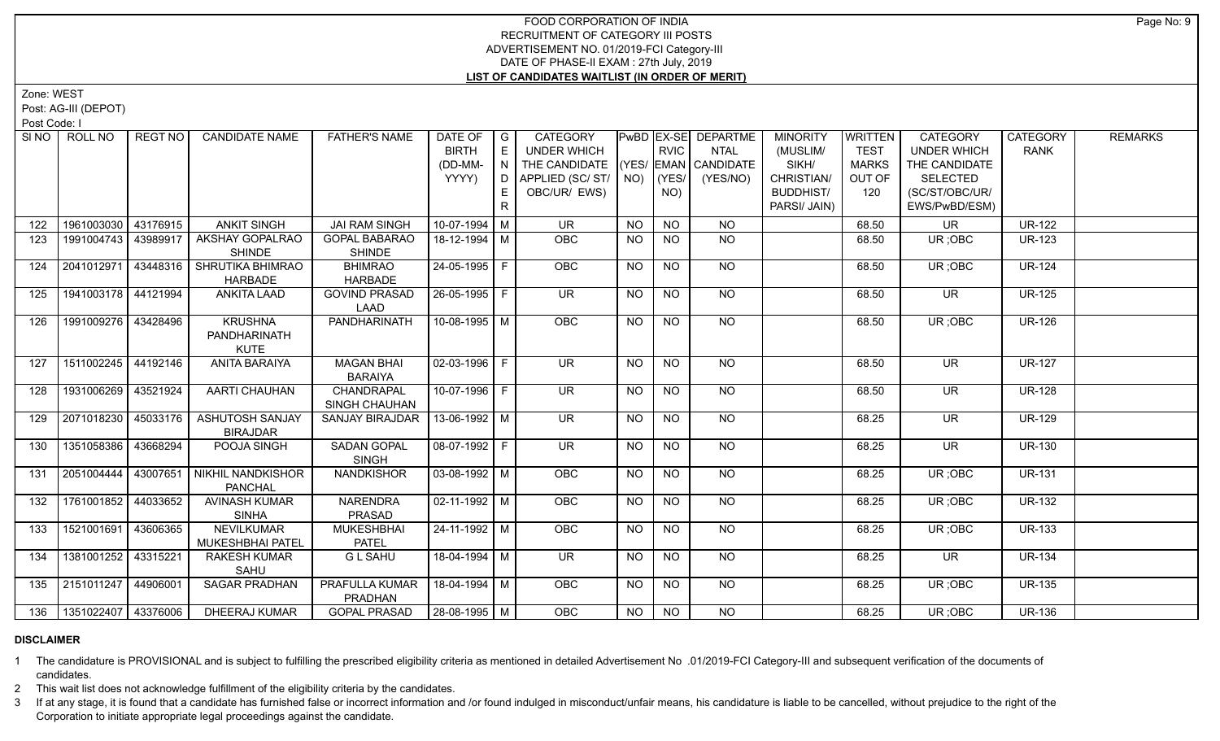Zone: WEST

Post: AG-III (DEPOT)

Post Code: I

| SI <sub>NO</sub> | ROLL NO                     | REGT NO  | <b>CANDIDATE NAME</b>                         | <b>FATHER'S NAME</b>                  | DATE OF<br><b>BIRTH</b><br>(DD-MM-<br>YYYY) | $\overline{\phantom{a}}$ $\overline{\phantom{a}}$<br>E<br>$\overline{N}$<br>D | <b>CATEGORY</b><br><b>UNDER WHICH</b><br>THE CANDIDATE<br>APPLIED (SC/ ST/   NO) |           | <b>RVIC</b><br>YES/ | <b>PwBD EX-SE DEPARTME</b><br><b>NTAL</b><br>(YES/ EMAN CANDIDATE<br>(YES/NO) | <b>MINORITY</b><br>(MUSLIM/<br>SIKH/<br>CHRISTIAN/ | WRITTEN<br><b>TEST</b><br><b>MARKS</b><br>OUT OF | <b>CATEGORY</b><br><b>UNDER WHICH</b><br>THE CANDIDATE<br><b>SELECTED</b> | <b>CATEGORY</b><br><b>RANK</b> | <b>REMARKS</b> |
|------------------|-----------------------------|----------|-----------------------------------------------|---------------------------------------|---------------------------------------------|-------------------------------------------------------------------------------|----------------------------------------------------------------------------------|-----------|---------------------|-------------------------------------------------------------------------------|----------------------------------------------------|--------------------------------------------------|---------------------------------------------------------------------------|--------------------------------|----------------|
|                  |                             |          |                                               |                                       |                                             | E<br>R                                                                        | OBC/UR/ EWS)                                                                     |           | NO)                 |                                                                               | <b>BUDDHIST/</b><br>PARSI/ JAIN)                   | 120                                              | (SC/ST/OBC/UR/<br>EWS/PwBD/ESM)                                           |                                |                |
| 122              | 1961003030                  | 43176915 | <b>ANKIT SINGH</b>                            | <b>JAI RAM SINGH</b>                  | 10-07-1994 M                                |                                                                               | <b>UR</b>                                                                        | <b>NO</b> | <b>NO</b>           | <b>NO</b>                                                                     |                                                    | 68.50                                            | <b>UR</b>                                                                 | <b>UR-122</b>                  |                |
| 123              | 1991004743                  | 43989917 | AKSHAY GOPALRAO<br><b>SHINDE</b>              | <b>GOPAL BABARAO</b><br><b>SHINDE</b> | 18-12-1994 M                                |                                                                               | <b>OBC</b>                                                                       | <b>NO</b> | NO                  | NO                                                                            |                                                    | 68.50                                            | UR; OBC                                                                   | <b>UR-123</b>                  |                |
| 124              | 2041012971                  | 43448316 | SHRUTIKA BHIMRAO<br>HARBADE                   | <b>BHIMRAO</b><br>HARBADE             | 24-05-1995 F                                |                                                                               | OBC                                                                              | <b>NO</b> | <b>NO</b>           | NO                                                                            |                                                    | 68.50                                            | UR; OBC                                                                   | <b>UR-124</b>                  |                |
| 125              | 1941003178 44121994         |          | <b>ANKITA LAAD</b>                            | <b>GOVIND PRASAD</b><br>LAAD          | $26 - 05 - 1995$ F                          |                                                                               | $\overline{\mathsf{UR}}$                                                         | <b>NO</b> | $\overline{NO}$     | $\overline{NO}$                                                               |                                                    | 68.50                                            | $\overline{\mathsf{UR}}$                                                  | <b>UR-125</b>                  |                |
| 126              | 1991009276 43428496         |          | <b>KRUSHNA</b><br>PANDHARINATH<br><b>KUTE</b> | PANDHARINATH                          | 10-08-1995   M                              |                                                                               | OBC                                                                              | <b>NO</b> | $\overline{NO}$     | $\overline{NO}$                                                               |                                                    | 68.50                                            | UR; OBC                                                                   | <b>UR-126</b>                  |                |
| 127              | 1511002245 44192146         |          | <b>ANITA BARAIYA</b>                          | <b>MAGAN BHAI</b><br><b>BARAIYA</b>   | 02-03-1996 F                                |                                                                               | $\overline{\mathsf{UR}}$                                                         | <b>NO</b> | <b>NO</b>           | NO                                                                            |                                                    | 68.50                                            | <b>UR</b>                                                                 | <b>UR-127</b>                  |                |
| 128              | 1931006269                  | 43521924 | AARTI CHAUHAN                                 | CHANDRAPAL<br>SINGH CHAUHAN           | $10-07-1996$ F                              |                                                                               | <b>UR</b>                                                                        | <b>NO</b> | <b>NO</b>           | NO                                                                            |                                                    | 68.50                                            | <b>UR</b>                                                                 | <b>UR-128</b>                  |                |
| 129              | 2071018230 45033176         |          | <b>ASHUTOSH SANJAY</b><br><b>BIRAJDAR</b>     | SANJAY BIRAJDAR                       | $13-06-1992$ M                              |                                                                               | $\overline{\mathsf{UR}}$                                                         | <b>NO</b> | $N$ O               | $N$ O                                                                         |                                                    | 68.25                                            | $\overline{\mathsf{UR}}$                                                  | $UR-129$                       |                |
| 130              | 1351058386                  | 43668294 | POOJA SINGH                                   | <b>SADAN GOPAL</b><br><b>SINGH</b>    | 08-07-1992   F                              |                                                                               | <b>UR</b>                                                                        | <b>NO</b> | $N$ O               | <b>NO</b>                                                                     |                                                    | 68.25                                            | <b>UR</b>                                                                 | <b>UR-130</b>                  |                |
| 131              | 2051004444                  | 43007651 | <b>NIKHIL NANDKISHOR</b><br><b>PANCHAL</b>    | <b>NANDKISHOR</b>                     | 03-08-1992   M                              |                                                                               | <b>OBC</b>                                                                       | NO.       | <b>NO</b>           | NO                                                                            |                                                    | 68.25                                            | UR; OBC                                                                   | <b>UR-131</b>                  |                |
| 132              | 1761001852                  | 44033652 | <b>AVINASH KUMAR</b><br><b>SINHA</b>          | <b>NARENDRA</b><br>PRASAD             | $02 - 11 - 1992$ M                          |                                                                               | OBC                                                                              | <b>NO</b> | <b>NO</b>           | $N$ <sup>O</sup>                                                              |                                                    | 68.25                                            | UR; OBC                                                                   | <b>UR-132</b>                  |                |
| 133              | 1521001691 43606365         |          | <b>NEVILKUMAR</b><br>MUKESHBHAI PATEL         | <b>MUKESHBHAI</b><br><b>PATEL</b>     | $24 - 11 - 1992$ M                          |                                                                               | OBC                                                                              | <b>NO</b> | $\overline{NO}$     | $N$ <sup>O</sup>                                                              |                                                    | 68.25                                            | UR; OBC                                                                   | <b>UR-133</b>                  |                |
| 134              | 1381001252 43315221         |          | <b>RAKESH KUMAR</b><br>SAHU                   | <b>GL SAHU</b>                        | 18-04-1994 M                                |                                                                               | $\overline{\mathsf{UR}}$                                                         | <b>NO</b> | $N$ O               | NO                                                                            |                                                    | 68.25                                            | <b>UR</b>                                                                 | <b>UR-134</b>                  |                |
| 135              | 2151011247 44906001         |          | <b>SAGAR PRADHAN</b>                          | PRAFULLA KUMAR<br>PRADHAN             | 18-04-1994 M                                |                                                                               | <b>OBC</b>                                                                       | NO.       | <b>NO</b>           | NO                                                                            |                                                    | 68.25                                            | UR; OBC                                                                   | <b>UR-135</b>                  |                |
|                  | 136   1351022407   43376006 |          | <b>DHEERAJ KUMAR</b>                          | <b>GOPAL PRASAD</b>                   | $ 28-08-1995 $ M                            |                                                                               | <b>OBC</b>                                                                       | <b>NO</b> | NO                  | NO.                                                                           |                                                    | 68.25                                            | UR; OBC                                                                   | <b>UR-136</b>                  |                |

#### **DISCLAIMER**

1 The candidature is PROVISIONAL and is subject to fulfilling the prescribed eligibility criteria as mentioned in detailed Advertisement No .01/2019-FCI Category-III and subsequent verification of the documents of candidates.

2 This wait list does not acknowledge fulfillment of the eligibility criteria by the candidates.

3 If at any stage, it is found that a candidate has furnished false or incorrect information and /or found indulged in misconduct/unfair means, his candidature is liable to be cancelled, without prejudice to the right of t Corporation to initiate appropriate legal proceedings against the candidate.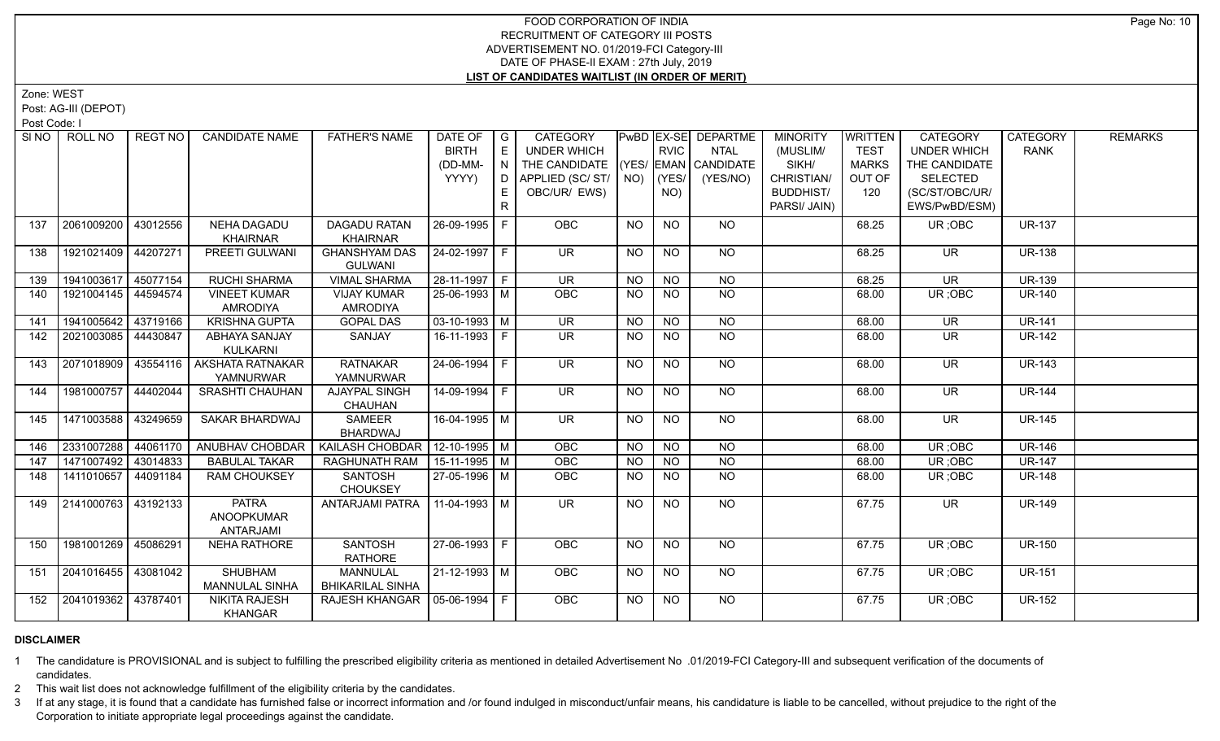Zone: WEST

Post: AG-III (DEPOT)

Post Code: I

|     | SINO   ROLL NO          | REGT NO  | <b>CANDIDATE NAME</b>                  | <b>FATHER'S NAME</b>            | DATE OF<br><b>BIRTH</b><br>(DD-MM- | $\overline{G}$<br>E<br>N | <b>CATEGORY</b><br><b>UNDER WHICH</b><br>THE CANDIDATE |           | <b>RVIC</b>     | <b>PwBD EX-SE DEPARTME</b><br><b>NTAL</b><br>(YES/ EMAN CANDIDATE | <b>MINORITY</b><br>(MUSLIM/<br>SIKH/ | <b>WRITTEN</b><br><b>TEST</b><br><b>MARKS</b> | <b>CATEGORY</b><br><b>UNDER WHICH</b><br>THE CANDIDATE | <b>CATEGORY</b><br><b>RANK</b> | <b>REMARKS</b> |
|-----|-------------------------|----------|----------------------------------------|---------------------------------|------------------------------------|--------------------------|--------------------------------------------------------|-----------|-----------------|-------------------------------------------------------------------|--------------------------------------|-----------------------------------------------|--------------------------------------------------------|--------------------------------|----------------|
|     |                         |          |                                        |                                 | YYYY)                              | D                        | APPLIED (SC/ST/                                        |           | $NO)$ $ (YES/$  | (YES/NO)                                                          | CHRISTIAN/                           | OUT OF                                        | <b>SELECTED</b>                                        |                                |                |
|     |                         |          |                                        |                                 |                                    | E.                       | OBC/UR/ EWS)                                           |           | NO)             |                                                                   | <b>BUDDHIST/</b>                     | 120                                           | (SC/ST/OBC/UR/                                         |                                |                |
|     |                         |          |                                        |                                 |                                    | R                        |                                                        |           |                 |                                                                   | PARSI/ JAIN)                         |                                               | EWS/PwBD/ESM)                                          |                                |                |
| 137 | 2061009200              | 43012556 | <b>NEHA DAGADU</b>                     | <b>DAGADU RATAN</b>             | 26-09-1995                         | F                        | OBC                                                    | <b>NO</b> | <b>NO</b>       | <b>NO</b>                                                         |                                      | 68.25                                         | UR; OBC                                                | <b>UR-137</b>                  |                |
|     |                         |          | <b>KHAIRNAR</b>                        | <b>KHAIRNAR</b>                 |                                    |                          |                                                        |           |                 |                                                                   |                                      |                                               |                                                        |                                |                |
| 138 | 1921021409              | 44207271 | <b>PREETI GULWANI</b>                  | <b>GHANSHYAM DAS</b>            | 24-02-1997 F                       |                          | UR.                                                    | NO        | <b>NO</b>       | NO                                                                |                                      | 68.25                                         | UR                                                     | <b>UR-138</b>                  |                |
|     |                         |          |                                        | <b>GULWANI</b>                  |                                    |                          |                                                        |           |                 |                                                                   |                                      |                                               |                                                        |                                |                |
| 139 | 1941003617              | 45077154 | <b>RUCHI SHARMA</b>                    | <b>VIMAL SHARMA</b>             | 28-11-1997 F                       |                          | <b>UR</b>                                              | <b>NO</b> | <b>NO</b>       | <b>NO</b>                                                         |                                      | 68.25                                         | <b>UR</b>                                              | <b>UR-139</b>                  |                |
| 140 | 1921004145 44594574     |          | <b>VINEET KUMAR</b>                    | <b>VIJAY KUMAR</b>              | 25-06-1993 M                       |                          | OBC                                                    | <b>NO</b> | <b>NO</b>       | $\overline{NQ}$                                                   |                                      | 68.00                                         | UR; OBC                                                | <b>UR-140</b>                  |                |
|     |                         |          | <b>AMRODIYA</b>                        | <b>AMRODIYA</b>                 |                                    |                          |                                                        |           |                 |                                                                   |                                      |                                               |                                                        |                                |                |
| 141 | 1941005642 43719166     |          | <b>KRISHNA GUPTA</b>                   | <b>GOPAL DAS</b>                | $03 - 10 - 1993$ M                 |                          | $\overline{\mathsf{UR}}$                               | NO.       | N <sub>O</sub>  | N <sub>O</sub>                                                    |                                      | 68.00                                         | $\overline{\mathsf{UR}}$                               | <b>UR-141</b>                  |                |
| 142 | 2021003085              | 44430847 | ABHAYA SANJAY                          | SANJAY                          | 16-11-1993   F                     |                          | <b>UR</b>                                              | <b>NO</b> | N <sub>O</sub>  | N <sub>O</sub>                                                    |                                      | 68.00                                         | <b>UR</b>                                              | <b>UR-142</b>                  |                |
|     |                         |          | <b>KULKARNI</b>                        |                                 |                                    |                          |                                                        |           |                 |                                                                   |                                      |                                               |                                                        |                                |                |
| 143 | 2071018909              | 43554116 | <b>AKSHATA RATNAKAR</b>                | <b>RATNAKAR</b>                 | $24-06-1994$ F                     |                          | $\overline{\mathsf{UR}}$                               | NO        | N <sub>O</sub>  | $N$ O                                                             |                                      | 68.00                                         | UR.                                                    | <b>UR-143</b>                  |                |
|     |                         |          | <b>YAMNURWAR</b>                       | <b>YAMNURWAR</b>                |                                    |                          |                                                        |           |                 |                                                                   |                                      |                                               |                                                        |                                |                |
| 144 | 1981000757              | 44402044 | <b>SRASHTI CHAUHAN</b>                 | <b>AJAYPAL SINGH</b>            | 14-09-1994 F                       |                          | $\overline{\mathsf{UR}}$                               | NO        | <b>NO</b>       | NO                                                                |                                      | 68.00                                         | <b>UR</b>                                              | <b>UR-144</b>                  |                |
| 145 | 1471003588 43249659     |          | <b>SAKAR BHARDWAJ</b>                  | <b>CHAUHAN</b><br><b>SAMEER</b> | 16-04-1995 M                       |                          | <b>UR</b>                                              | NO.       | <b>NO</b>       | NO                                                                |                                      | 68.00                                         | <b>UR</b>                                              | <b>UR-145</b>                  |                |
|     |                         |          |                                        | <b>BHARDWAJ</b>                 |                                    |                          |                                                        |           |                 |                                                                   |                                      |                                               |                                                        |                                |                |
| 146 | 2331007288              | 44061170 | ANUBHAV CHOBDAR                        | KAILASH CHOBDAR                 | 12-10-1995 M                       |                          | OBC                                                    | NO        | <b>NO</b>       | <b>NO</b>                                                         |                                      | 68.00                                         | UR; OBC                                                | <b>UR-146</b>                  |                |
| 147 | 1471007492 43014833     |          | <b>BABULAL TAKAR</b>                   | RAGHUNATH RAM                   | $15-11-1995$ M                     |                          | <b>OBC</b>                                             | <b>NO</b> | <b>NO</b>       | $\overline{NO}$                                                   |                                      | 68.00                                         | UR; OBC                                                | <b>UR-147</b>                  |                |
| 148 | 1411010657              | 44091184 | <b>RAM CHOUKSEY</b>                    | SANTOSH                         | 27-05-1996 M                       |                          | <b>OBC</b>                                             | NO.       | <b>NO</b>       | $\overline{NQ}$                                                   |                                      | 68.00                                         | UR; OBC                                                | <b>UR-148</b>                  |                |
|     |                         |          |                                        | <b>CHOUKSEY</b>                 |                                    |                          |                                                        |           |                 |                                                                   |                                      |                                               |                                                        |                                |                |
| 149 | 2141000763   43192133   |          | <b>PATRA</b>                           | ANTARJAMI PATRA                 | 11-04-1993 M                       |                          | $\overline{\mathsf{UR}}$                               | NO        | $\overline{NO}$ | $N$ <sup>O</sup>                                                  |                                      | 67.75                                         | $\overline{\mathsf{UR}}$                               | <b>UR-149</b>                  |                |
|     |                         |          | <b>ANOOPKUMAR</b>                      |                                 |                                    |                          |                                                        |           |                 |                                                                   |                                      |                                               |                                                        |                                |                |
|     |                         |          | ANTARJAMI                              |                                 |                                    |                          |                                                        |           |                 |                                                                   |                                      |                                               |                                                        |                                |                |
| 150 | 1981001269 45086291     |          | NEHA RATHORE                           | <b>SANTOSH</b>                  | $27-06-1993$ F                     |                          | OBC                                                    | <b>NO</b> | N <sub>O</sub>  | $N$ <sup>O</sup>                                                  |                                      | 67.75                                         | UR; OBC                                                | <b>UR-150</b>                  |                |
|     |                         |          |                                        | <b>RATHORE</b>                  |                                    |                          |                                                        |           |                 |                                                                   |                                      |                                               |                                                        |                                |                |
| 151 | 2041016455 43081042     |          | SHUBHAM                                | <b>MANNULAL</b>                 | 21-12-1993   M                     |                          | <b>OBC</b>                                             | NO.       | <b>NO</b>       | NO                                                                |                                      | 67.75                                         | UR; OBC                                                | <b>UR-151</b>                  |                |
|     | 152 2041019362 43787401 |          | <b>MANNULAL SINHA</b>                  | <b>BHIKARILAL SINHA</b>         |                                    |                          |                                                        |           |                 |                                                                   |                                      |                                               |                                                        |                                |                |
|     |                         |          | <b>NIKITA RAJESH</b><br><b>KHANGAR</b> | RAJESH KHANGAR   05-06-1994   F |                                    |                          | <b>OBC</b>                                             | NO        | <b>NO</b>       | <b>NO</b>                                                         |                                      | 67.75                                         | UR; OBC                                                | <b>UR-152</b>                  |                |
|     |                         |          |                                        |                                 |                                    |                          |                                                        |           |                 |                                                                   |                                      |                                               |                                                        |                                |                |

# **DISCLAIMER**

1 The candidature is PROVISIONAL and is subject to fulfilling the prescribed eligibility criteria as mentioned in detailed Advertisement No .01/2019-FCI Category-III and subsequent verification of the documents of candidates.

2 This wait list does not acknowledge fulfillment of the eligibility criteria by the candidates.

3 If at any stage, it is found that a candidate has furnished false or incorrect information and /or found indulged in misconduct/unfair means, his candidature is liable to be cancelled, without prejudice to the right of t Corporation to initiate appropriate legal proceedings against the candidate.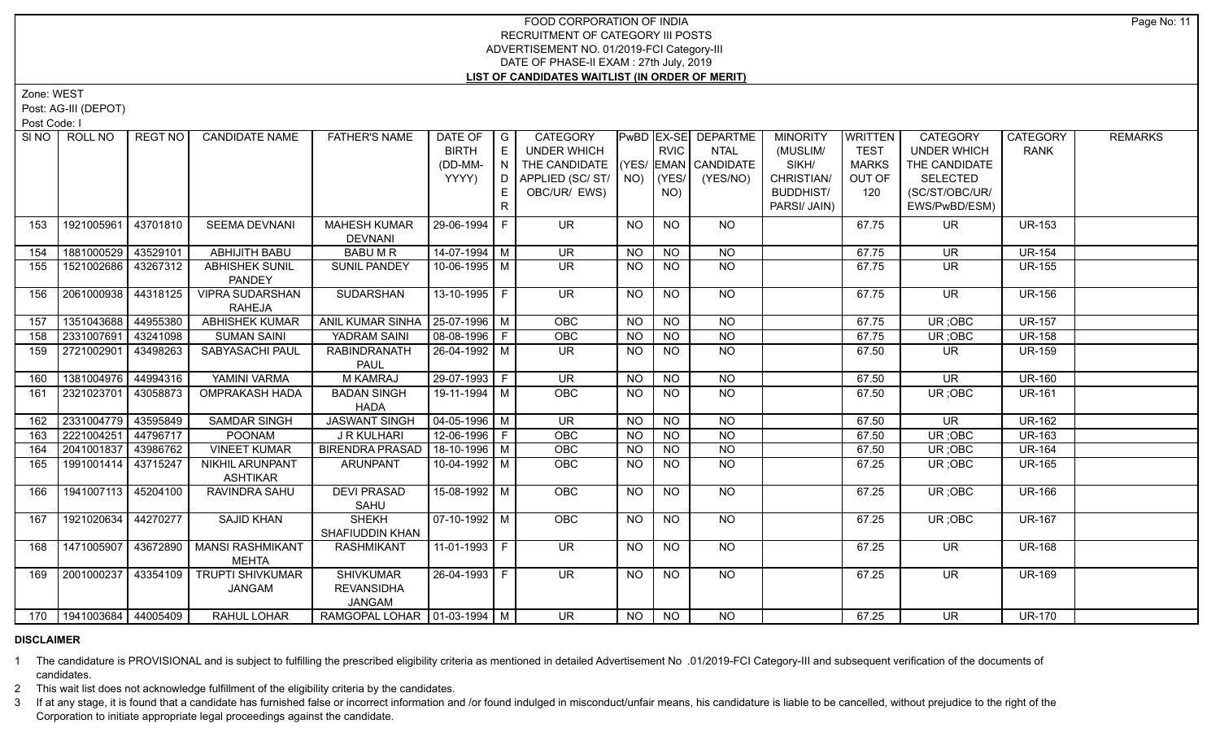Zone: WEST

Post: AG-III (DEPOT)

Post Code: I

| SI NO 1 | ROLL NO                     | REGT NO  | <b>CANDIDATE NAME</b>                     | <b>FATHER'S NAME</b>              | DATE OF               | $\overline{\phantom{a}}$ G | <b>CATEGORY</b>                    |           |                 | <b>PwBD EX-SE DEPARTME</b> | <b>MINORITY</b>  | WRITTEN      | <b>CATEGORY</b>    | <b>CATEGORY</b> | <b>REMARKS</b> |
|---------|-----------------------------|----------|-------------------------------------------|-----------------------------------|-----------------------|----------------------------|------------------------------------|-----------|-----------------|----------------------------|------------------|--------------|--------------------|-----------------|----------------|
|         |                             |          |                                           |                                   | <b>BIRTH</b>          | E                          | UNDER WHICH                        |           | <b>RVIC</b>     | <b>NTAL</b>                | (MUSLIM/         | <b>TEST</b>  | <b>UNDER WHICH</b> | <b>RANK</b>     |                |
|         |                             |          |                                           |                                   | (DD-MM-               | N                          | THE CANDIDATE (YES/ EMAN CANDIDATE |           |                 |                            | SIKH/            | <b>MARKS</b> | THE CANDIDATE      |                 |                |
|         |                             |          |                                           |                                   | YYYY)                 | D                          | APPLIED (SC/ ST/ NO)               |           | (YES/           | (YES/NO)                   | CHRISTIAN/       | OUT OF       | <b>SELECTED</b>    |                 |                |
|         |                             |          |                                           |                                   |                       |                            | OBC/UR/ EWS)                       |           | NO)             |                            | <b>BUDDHIST/</b> | 120          | (SC/ST/OBC/UR/     |                 |                |
|         |                             |          |                                           |                                   |                       |                            |                                    |           |                 |                            | PARSI/ JAIN)     |              | EWS/PwBD/ESM)      |                 |                |
| 153     | 1921005961                  | 43701810 | <b>SEEMA DEVNANI</b>                      | <b>MAHESH KUMAR</b>               | 29-06-1994            |                            | <b>UR</b>                          | <b>NO</b> | <b>NO</b>       | <b>NO</b>                  |                  | 67.75        | <b>UR</b>          | <b>UR-153</b>   |                |
|         |                             |          |                                           | <b>DEVNANI</b>                    |                       |                            |                                    |           |                 |                            |                  |              |                    |                 |                |
| 154     | 1881000529 43529101         |          | ABHIJITH BABU                             | <b>BABUMR</b>                     | 14-07-1994 M          |                            | <b>UR</b>                          | <b>NO</b> | <b>NO</b>       | <b>NO</b>                  |                  | 67.75        | UR                 | <b>UR-154</b>   |                |
| 155     | 1521002686 43267312         |          | <b>ABHISHEK SUNIL</b><br><b>PANDEY</b>    | <b>SUNIL PANDEY</b>               | 10-06-1995   M        |                            | UR.                                | <b>NO</b> | <b>NO</b>       | <b>NO</b>                  |                  | 67.75        | <b>UR</b>          | <b>UR-155</b>   |                |
| 156     | 2061000938   44318125       |          | <b>VIPRA SUDARSHAN</b>                    | <b>SUDARSHAN</b>                  | 13-10-1995 F          |                            | UR.                                | NO.       | <b>NO</b>       | NO                         |                  | 67.75        | UR.                | <b>UR-156</b>   |                |
|         |                             |          | <b>RAHEJA</b>                             |                                   |                       |                            |                                    |           |                 |                            |                  |              |                    |                 |                |
| 157     | 1351043688 44955380         |          | <b>ABHISHEK KUMAR</b>                     | ANIL KUMAR SINHA   25-07-1996   M |                       |                            | OBC                                | <b>NO</b> | $\overline{NO}$ | N <sub>O</sub>             |                  | 67.75        | UR; OBC            | <b>UR-157</b>   |                |
| 158     | 2331007691                  | 43241098 | <b>SUMAN SAINI</b>                        | YADRAM SAINI                      | $ 08-08-1996 F$       |                            | OBC                                | <b>NO</b> | <b>NO</b>       | N <sub>O</sub>             |                  | 67.75        | UR; OBC            | <b>UR-158</b>   |                |
| 159     | 2721002901                  | 43498263 | SABYASACHI PAUL                           | <b>RABINDRANATH</b>               | 26-04-1992   M        |                            | UR.                                | NO.       | <b>NO</b>       | <b>NO</b>                  |                  | 67.50        | UR.                | <b>UR-159</b>   |                |
|         |                             |          |                                           | <b>PAUL</b>                       |                       |                            |                                    |           |                 |                            |                  |              |                    |                 |                |
| 160     | 1381004976 44994316         |          | YAMINI VARMA                              | <b>M KAMRAJ</b>                   | 29-07-1993 F          |                            | <b>UR</b>                          | <b>NO</b> | <b>NO</b>       | <b>NO</b>                  |                  | 67.50        | <b>UR</b>          | <b>UR-160</b>   |                |
| 161     | 2321023701 43058873         |          | <b>OMPRAKASH HADA</b>                     | <b>BADAN SINGH</b>                | 19-11-1994 M          |                            | OBC                                | NO.       | <b>NO</b>       | $N$ O                      |                  | 67.50        | UR; OBC            | <b>UR-161</b>   |                |
|         |                             |          |                                           | HADA                              |                       |                            |                                    |           |                 |                            |                  |              |                    |                 |                |
| 162     | 2331004779 43595849         |          | <b>SAMDAR SINGH</b>                       | <b>JASWANT SINGH</b>              | $\sqrt{04-05-1996}$ M |                            | <b>UR</b>                          | <b>NO</b> | <b>NO</b>       | <b>NO</b>                  |                  | 67.50        | <b>UR</b>          | <b>UR-162</b>   |                |
| 163     | 2221004251                  | 44796717 | <b>POONAM</b>                             | J R KULHARI                       | 12-06-1996   F        |                            | OBC                                | <b>NO</b> | <b>NO</b>       | $N$ O                      |                  | 67.50        | UR; OBC            | <b>UR-163</b>   |                |
| 164     | 2041001837 43986762         |          | <b>VINEET KUMAR</b>                       | <b>BIRENDRA PRASAD</b>            | 18-10-1996 M          |                            | OBC                                | <b>NO</b> | $N$ O           | $N$ O                      |                  | 67.50        | UR; OBC            | <b>UR-164</b>   |                |
| 165     | 1991001414 43715247         |          | <b>NIKHIL ARUNPANT</b><br><b>ASHTIKAR</b> | <b>ARUNPANT</b>                   | 10-04-1992 M          |                            | <b>OBC</b>                         | NO.       | <b>NO</b>       | <b>NO</b>                  |                  | 67.25        | UR; OBC            | <b>UR-165</b>   |                |
| 166     | 1941007113 45204100         |          | RAVINDRA SAHU                             | <b>DEVI PRASAD</b><br>SAHU        | 15-08-1992 M          |                            | OBC                                | <b>NO</b> | <b>NO</b>       | <b>NO</b>                  |                  | 67.25        | UR; OBC            | <b>UR-166</b>   |                |
| 167     | 1921020634 44270277         |          | <b>SAJID KHAN</b>                         | <b>SHEKH</b>                      | 07-10-1992   M        |                            | <b>OBC</b>                         | NO.       | <b>NO</b>       | NO                         |                  | 67.25        | UR; OBC            | <b>UR-167</b>   |                |
|         |                             |          |                                           | SHAFIUDDIN KHAN                   |                       |                            |                                    |           |                 |                            |                  |              |                    |                 |                |
| 168     | 1471005907 43672890         |          | <b>MANSI RASHMIKANT</b>                   | <b>RASHMIKANT</b>                 | $11-01-1993$ F        |                            | UR.                                | <b>NO</b> | $\overline{NO}$ | NO                         |                  | 67.25        | UR.                | <b>UR-168</b>   |                |
|         |                             |          | <b>MEHTA</b>                              |                                   |                       |                            |                                    |           |                 |                            |                  |              |                    |                 |                |
| 169     | 2001000237   43354109       |          | <b>TRUPTI SHIVKUMAR</b>                   | <b>SHIVKUMAR</b>                  | 26-04-1993 F          |                            | UR.                                | NO.       | <b>NO</b>       | NO                         |                  | 67.25        | <b>UR</b>          | <b>UR-169</b>   |                |
|         |                             |          | JANGAM                                    | <b>REVANSIDHA</b>                 |                       |                            |                                    |           |                 |                            |                  |              |                    |                 |                |
|         |                             |          |                                           | <b>JANGAM</b>                     |                       |                            |                                    |           |                 |                            |                  |              |                    |                 |                |
|         | 170   1941003684   44005409 |          | RAHUL LOHAR                               | RAMGOPAL LOHAR   01-03-1994   M   |                       |                            | UR.                                | NO.       | <b>NO</b>       | <b>NO</b>                  |                  | 67.25        | UR.                | UR-170          |                |

#### **DISCLAIMER**

1 The candidature is PROVISIONAL and is subject to fulfilling the prescribed eligibility criteria as mentioned in detailed Advertisement No .01/2019-FCI Category-III and subsequent verification of the documents of candidates.

2 This wait list does not acknowledge fulfillment of the eligibility criteria by the candidates.

3 If at any stage, it is found that a candidate has furnished false or incorrect information and /or found indulged in misconduct/unfair means, his candidature is liable to be cancelled, without prejudice to the right of t Corporation to initiate appropriate legal proceedings against the candidate.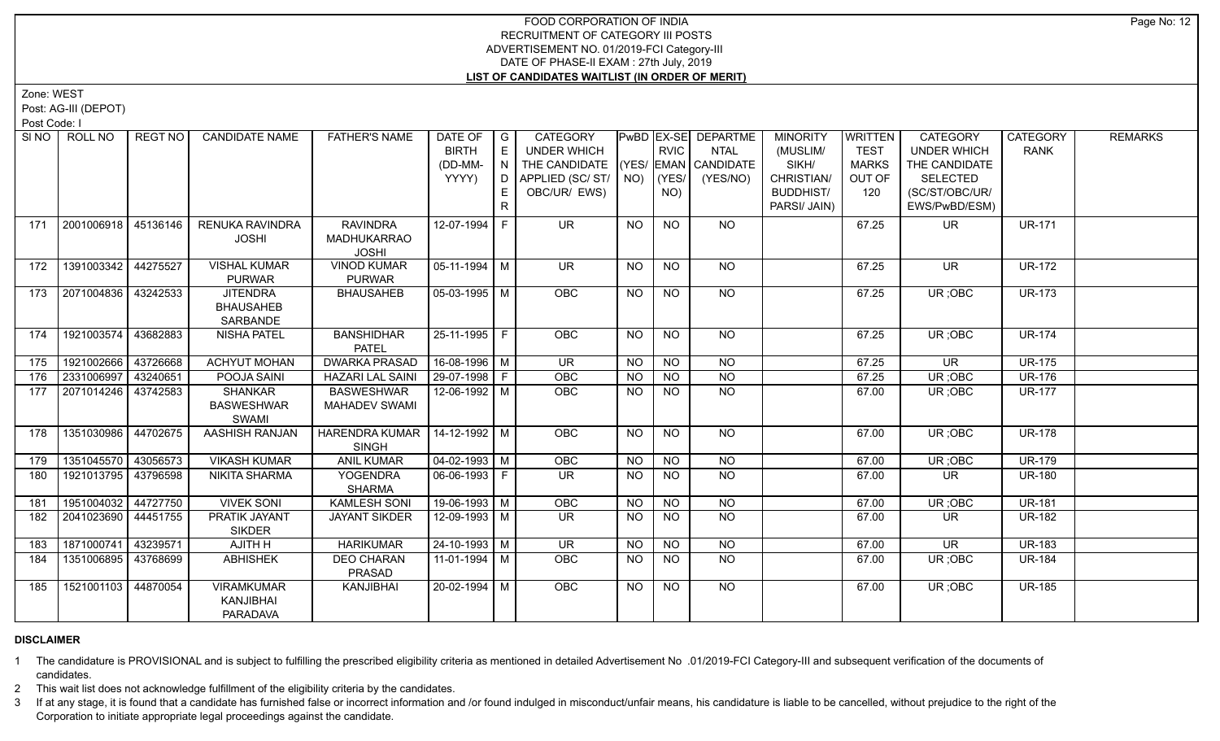Zone: WEST

Post: AG-III (DEPOT)

Post Code: I

| SI NO | ROLL NO             | REGT NO  | <b>CANDIDATE NAME</b>                               | <b>FATHER'S NAME</b>                                  | DATE OF<br><b>BIRTH</b><br>(DD-MM-<br>YYYY) | $\overline{\phantom{a}}$ G<br>E<br>N.<br>D<br>E. | <b>CATEGORY</b><br>UNDER WHICH<br>THE CANDIDATE<br>APPLIED (SC/ST/<br>OBC/UR/ EWS) | NO)       | <b>RVIC</b><br>YES/<br>NO) | PwBD EX-SE DEPARTME<br><b>NTAL</b><br>(YES/ EMAN CANDIDATE<br>(YES/NO) | <b>MINORITY</b><br>(MUSLIM/<br>SIKH/<br>CHRISTIAN/<br><b>BUDDHIST/</b> | <b>WRITTEN</b><br><b>TEST</b><br><b>MARKS</b><br>OUT OF<br>120 | <b>CATEGORY</b><br><b>UNDER WHICH</b><br>THE CANDIDATE<br><b>SELECTED</b><br>(SC/ST/OBC/UR/ | <b>CATEGORY</b><br><b>RANK</b> | <b>REMARKS</b> |
|-------|---------------------|----------|-----------------------------------------------------|-------------------------------------------------------|---------------------------------------------|--------------------------------------------------|------------------------------------------------------------------------------------|-----------|----------------------------|------------------------------------------------------------------------|------------------------------------------------------------------------|----------------------------------------------------------------|---------------------------------------------------------------------------------------------|--------------------------------|----------------|
|       |                     |          |                                                     |                                                       |                                             | R.                                               |                                                                                    |           |                            |                                                                        | PARSI/ JAIN)                                                           |                                                                | EWS/PwBD/ESM)                                                                               |                                |                |
| 171   | 2001006918 45136146 |          | RENUKA RAVINDRA<br><b>JOSHI</b>                     | <b>RAVINDRA</b><br><b>MADHUKARRAO</b><br><b>JOSHI</b> | 12-07-1994 F                                |                                                  | <b>UR</b>                                                                          | <b>NO</b> | <b>NO</b>                  | NO                                                                     |                                                                        | 67.25                                                          | <b>UR</b>                                                                                   | <b>UR-171</b>                  |                |
| 172   | 1391003342 44275527 |          | <b>VISHAL KUMAR</b><br><b>PURWAR</b>                | <b>VINOD KUMAR</b><br><b>PURWAR</b>                   | $05-11-1994$ M                              |                                                  | <b>UR</b>                                                                          | <b>NO</b> | <b>NO</b>                  | NO                                                                     |                                                                        | 67.25                                                          | <b>UR</b>                                                                                   | <b>UR-172</b>                  |                |
| 173   | 2071004836 43242533 |          | <b>JITENDRA</b><br><b>BHAUSAHEB</b><br>SARBANDE     | <b>BHAUSAHEB</b>                                      | $05-03-1995$ M                              |                                                  | <b>OBC</b>                                                                         | <b>NO</b> | NO                         | NO                                                                     |                                                                        | 67.25                                                          | UR; OBC                                                                                     | <b>UR-173</b>                  |                |
| 174   | 1921003574          | 43682883 | <b>NISHA PATEL</b>                                  | <b>BANSHIDHAR</b><br><b>PATEL</b>                     | 25-11-1995 F                                |                                                  | <b>OBC</b>                                                                         | <b>NO</b> | <b>NO</b>                  | <b>NO</b>                                                              |                                                                        | 67.25                                                          | UR; OBC                                                                                     | <b>UR-174</b>                  |                |
| 175   | 1921002666          | 43726668 | <b>ACHYUT MOHAN</b>                                 | <b>DWARKA PRASAD</b>                                  | 16-08-1996 M                                |                                                  | UR.                                                                                | NO        | <b>NO</b>                  | <b>NO</b>                                                              |                                                                        | 67.25                                                          | <b>UR</b>                                                                                   | <b>UR-175</b>                  |                |
| 176   | 2331006997          | 43240651 | POOJA SAINI                                         | <b>HAZARI LAL SAINI</b>                               | 29-07-1998 F                                |                                                  | <b>OBC</b>                                                                         | <b>NO</b> | NO                         | $N$ O                                                                  |                                                                        | 67.25                                                          | UR; OBC                                                                                     | <b>UR-176</b>                  |                |
| 177   | 2071014246 43742583 |          | <b>SHANKAR</b><br><b>BASWESHWAR</b><br><b>SWAMI</b> | <b>BASWESHWAR</b><br><b>MAHADEV SWAMI</b>             | 12-06-1992 M                                |                                                  | <b>OBC</b>                                                                         | <b>NO</b> | <b>NO</b>                  | N <sub>O</sub>                                                         |                                                                        | 67.00                                                          | UR; OBC                                                                                     | <b>UR-177</b>                  |                |
| 178   | 1351030986 44702675 |          | AASHISH RANJAN                                      | <b>HARENDRA KUMAR</b><br><b>SINGH</b>                 | 14-12-1992 M                                |                                                  | <b>OBC</b>                                                                         | NO.       | <b>NO</b>                  | <b>NO</b>                                                              |                                                                        | 67.00                                                          | UR; OBC                                                                                     | <b>UR-178</b>                  |                |
| 179   | 1351045570 43056573 |          | <b>VIKASH KUMAR</b>                                 | <b>ANIL KUMAR</b>                                     | $04 - 02 - 1993$ M                          |                                                  | OBC                                                                                | <b>NO</b> | NO                         | $N$ O                                                                  |                                                                        | 67.00                                                          | UR; OBC                                                                                     | <b>UR-179</b>                  |                |
| 180   | 1921013795 43796598 |          | <b>NIKITA SHARMA</b>                                | <b>YOGENDRA</b><br><b>SHARMA</b>                      | 06-06-1993 F                                |                                                  | $\overline{\mathsf{UR}}$                                                           | <b>NO</b> | <b>NO</b>                  | N <sub>O</sub>                                                         |                                                                        | 67.00                                                          | UR.                                                                                         | <b>UR-180</b>                  |                |
| 181   | 1951004032 44727750 |          | <b>VIVEK SONI</b>                                   | <b>KAMLESH SONI</b>                                   | 19-06-1993 M                                |                                                  | OBC                                                                                | <b>NO</b> | N <sub>O</sub>             | $\overline{NQ}$                                                        |                                                                        | 67.00                                                          | UR; OBC                                                                                     | <b>UR-181</b>                  |                |
| 182   | 2041023690          | 44451755 | PRATIK JAYANT<br><b>SIKDER</b>                      | <b>JAYANT SIKDER</b>                                  | 12-09-1993 M                                |                                                  | UR.                                                                                | NO.       | <b>NO</b>                  | <b>NO</b>                                                              |                                                                        | 67.00                                                          | UR.                                                                                         | <b>UR-182</b>                  |                |
| 183   | 1871000741          | 43239571 | <b>AJITH H</b>                                      | <b>HARIKUMAR</b>                                      | 24-10-1993 M                                |                                                  | $\overline{\mathsf{UR}}$                                                           | NO        | <b>NO</b>                  | <b>NO</b>                                                              |                                                                        | 67.00                                                          | <b>UR</b>                                                                                   | <b>UR-183</b>                  |                |
| 184   | 1351006895          | 43768699 | <b>ABHISHEK</b>                                     | <b>DEO CHARAN</b><br>PRASAD                           | $11-01-1994$ M                              |                                                  | OBC                                                                                | <b>NO</b> | $\overline{NQ}$            | N <sub>O</sub>                                                         |                                                                        | 67.00                                                          | UR; OBC                                                                                     | <b>UR-184</b>                  |                |
| 185   | 1521001103 44870054 |          | <b>VIRAMKUMAR</b><br>KANJIBHAI<br><b>PARADAVA</b>   | KANJIBHAI                                             | $20 - 02 - 1994$ M                          |                                                  | OBC                                                                                | <b>NO</b> | <b>NO</b>                  | $N$ <sup>O</sup>                                                       |                                                                        | 67.00                                                          | UR; OBC                                                                                     | <b>UR-185</b>                  |                |

# **DISCLAIMER**

1 The candidature is PROVISIONAL and is subject to fulfilling the prescribed eligibility criteria as mentioned in detailed Advertisement No .01/2019-FCI Category-III and subsequent verification of the documents of candidates.

2 This wait list does not acknowledge fulfillment of the eligibility criteria by the candidates.

3 If at any stage, it is found that a candidate has furnished false or incorrect information and /or found indulged in misconduct/unfair means, his candidature is liable to be cancelled, without prejudice to the right of t Corporation to initiate appropriate legal proceedings against the candidate.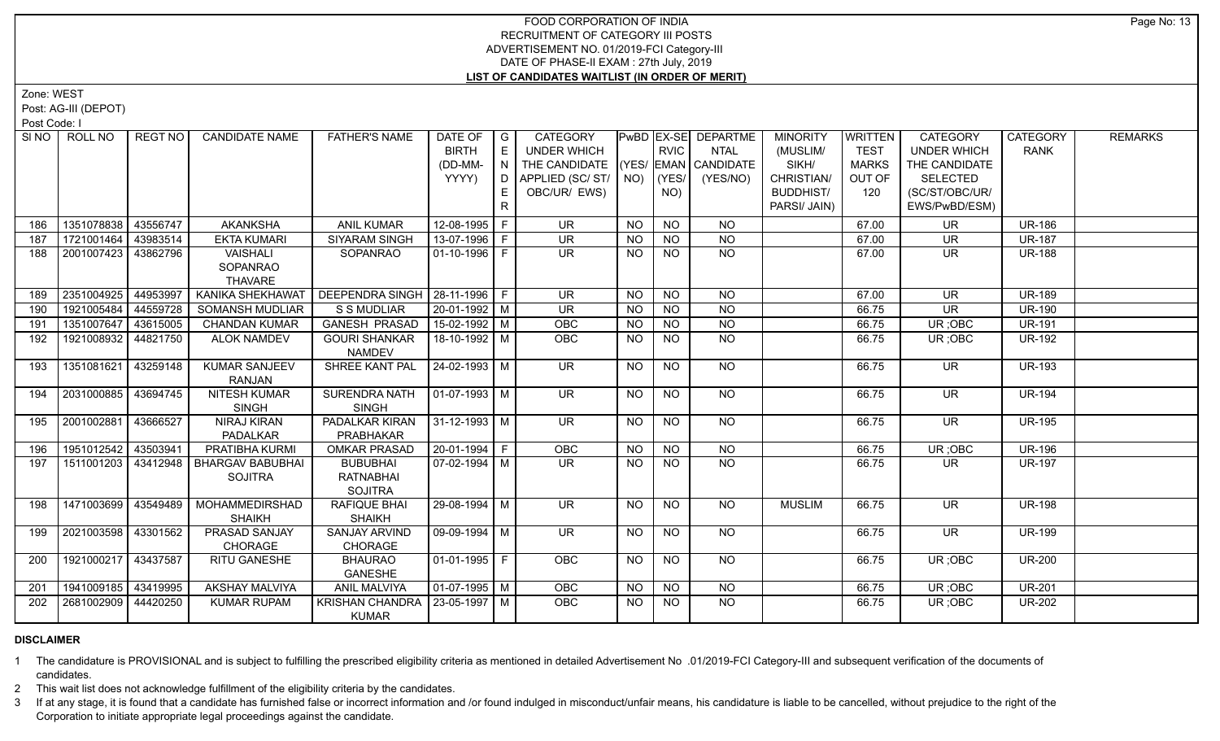Zone: WEST

Post: AG-III (DEPOT)

Post Code: I

| SI NO | ROLL NO             | REGT NO  | <b>CANDIDATE NAME</b>                     | <b>FATHER'S NAME</b>                                  | DATE OF                | G           | <b>CATEGORY</b>                     |           |                | <b>PWBD EX-SE DEPARTME</b> | <b>MINORITY</b>  | WRITTEN      | <b>CATEGORY</b>          | <b>CATEGORY</b> | <b>REMARKS</b> |
|-------|---------------------|----------|-------------------------------------------|-------------------------------------------------------|------------------------|-------------|-------------------------------------|-----------|----------------|----------------------------|------------------|--------------|--------------------------|-----------------|----------------|
|       |                     |          |                                           |                                                       | <b>BIRTH</b>           | $\mathsf E$ | <b>UNDER WHICH</b>                  |           | <b>RVIC</b>    | <b>NTAL</b>                | (MUSLIM/         | <b>TEST</b>  | <b>UNDER WHICH</b>       | <b>RANK</b>     |                |
|       |                     |          |                                           |                                                       | (DD-MM-                | N           | THE CANDIDATE (YES/ EMAN CANDIDATE) |           |                |                            | SIKH/            | <b>MARKS</b> | THE CANDIDATE            |                 |                |
|       |                     |          |                                           |                                                       | YYYY)                  | D.          | APPLIED (SC/ ST/ NO)                |           | (YES/          | (YES/NO)                   | CHRISTIAN/       | OUT OF       | <b>SELECTED</b>          |                 |                |
|       |                     |          |                                           |                                                       |                        | E.          | OBC/UR/ EWS)                        |           | NO)            |                            | <b>BUDDHIST/</b> | 120          | (SC/ST/OBC/UR/           |                 |                |
|       |                     |          |                                           |                                                       |                        | R           |                                     |           |                |                            | PARSI/ JAIN)     |              | EWS/PwBD/ESM)            |                 |                |
| 186   | 1351078838          | 43556747 | <b>AKANKSHA</b>                           | <b>ANIL KUMAR</b>                                     | 12-08-1995             | E           | <b>UR</b>                           | <b>NO</b> | <b>NO</b>      | NO                         |                  | 67.00        | <b>UR</b>                | <b>UR-186</b>   |                |
| 187   | 1721001464          | 43983514 | <b>EKTA KUMARI</b>                        | SIYARAM SINGH                                         | 13-07-1996             | E           | UR.                                 | <b>NO</b> | <b>NO</b>      | NO.                        |                  | 67.00        | UR.                      | <b>UR-187</b>   |                |
| 188   | 2001007423          | 43862796 | <b>VAISHALI</b>                           | SOPANRAO                                              | $01-10-1996$           |             | <b>UR</b>                           | <b>NO</b> | NO             | NO                         |                  | 67.00        | <b>UR</b>                | <b>UR-188</b>   |                |
|       |                     |          | SOPANRAO                                  |                                                       |                        |             |                                     |           |                |                            |                  |              |                          |                 |                |
|       |                     |          | <b>THAVARE</b>                            |                                                       |                        |             |                                     |           |                |                            |                  |              |                          |                 |                |
| 189   | 2351004925          | 44953997 | KANIKA SHEKHAWAT                          | DEEPENDRA SINGH   28-11-1996   F                      |                        |             | UR.                                 | <b>NO</b> | $N$ O          | $N$ <sup>O</sup>           |                  | 67.00        | UR.                      | <b>UR-189</b>   |                |
| 190   | 1921005484          | 44559728 | <b>SOMANSH MUDLIAR</b>                    | S S MUDLIAR                                           | $\boxed{20-01-1992}$ M |             | <b>UR</b>                           | <b>NO</b> | $N$ O          | $N$ O                      |                  | 66.75        | $\overline{\mathsf{UR}}$ | <b>UR-190</b>   |                |
| 191   | 1351007647          | 43615005 | <b>CHANDAN KUMAR</b>                      | <b>GANESH PRASAD</b>                                  | 15-02-1992 M           |             | OBC                                 | <b>NO</b> | <b>NO</b>      | <b>NO</b>                  |                  | 66.75        | UR; OBC                  | <b>UR-191</b>   |                |
| 192   | 1921008932          | 44821750 | <b>ALOK NAMDEV</b>                        | <b>GOURI SHANKAR</b><br><b>NAMDEV</b>                 | 18-10-1992 M           |             | OBC                                 | NO        | N <sub>O</sub> | $N$ <sup>O</sup>           |                  | 66.75        | UR; OBC                  | <b>UR-192</b>   |                |
| 193   | 1351081621          | 43259148 | <b>KUMAR SANJEEV</b><br><b>RANJAN</b>     | SHREE KANT PAL                                        | 24-02-1993 M           |             | UR.                                 | NO        | NO.            | NO.                        |                  | 66.75        | <b>UR</b>                | <b>UR-193</b>   |                |
| 194   | 2031000885          | 43694745 | <b>NITESH KUMAR</b><br><b>SINGH</b>       | SURENDRA NATH<br><b>SINGH</b>                         | $01-07-1993$ M         |             | UR.                                 | NO        | <b>NO</b>      | NO                         |                  | 66.75        | UR.                      | <b>UR-194</b>   |                |
| 195   | 2001002881          | 43666527 | <b>NIRAJ KIRAN</b><br><b>PADALKAR</b>     | <b>PADALKAR KIRAN</b><br><b>PRABHAKAR</b>             | $31 - 12 - 1993$ M     |             | <b>UR</b>                           | NO.       | <b>NO</b>      | <b>NO</b>                  |                  | 66.75        | <b>UR</b>                | <b>UR-195</b>   |                |
| 196   | 1951012542 43503941 |          | PRATIBHA KURMI                            | <b>OMKAR PRASAD</b>                                   | $20-01-1994$ F         |             | OBC                                 | <b>NO</b> | N <sub>O</sub> | <b>NO</b>                  |                  | 66.75        | UR; OBC                  | <b>UR-196</b>   |                |
| 197   | 1511001203 43412948 |          | <b>BHARGAV BABUBHAI</b><br><b>SOJITRA</b> | <b>BUBUBHAI</b><br><b>RATNABHAI</b><br><b>SOJITRA</b> | $07-02-1994$ M         |             | UR.                                 | NO        | <b>NO</b>      | NO                         |                  | 66.75        | UR.                      | <b>UR-197</b>   |                |
| 198   | 1471003699          | 43549489 | <b>MOHAMMEDIRSHAD</b><br><b>SHAIKH</b>    | <b>RAFIQUE BHAI</b><br><b>SHAIKH</b>                  | $29-08-1994$ M         |             | UR.                                 | NO.       | <b>NO</b>      | NO.                        | <b>MUSLIM</b>    | 66.75        | <b>UR</b>                | <b>UR-198</b>   |                |
| 199   | 2021003598          | 43301562 | PRASAD SANJAY<br>CHORAGE                  | <b>SANJAY ARVIND</b><br>CHORAGE                       | 09-09-1994 M           |             | <b>UR</b>                           | NO.       | <b>NO</b>      | <b>NO</b>                  |                  | 66.75        | <b>UR</b>                | <b>UR-199</b>   |                |
| 200   | 1921000217          | 43437587 | RITU GANESHE                              | <b>BHAURAO</b><br><b>GANESHE</b>                      | $01-01-1995$           |             | OBC                                 | <b>NO</b> | <b>NO</b>      | <b>NO</b>                  |                  | 66.75        | UR; OBC                  | <b>UR-200</b>   |                |
| 201   | 1941009185          | 43419995 | <b>AKSHAY MALVIYA</b>                     | <b>ANIL MALVIYA</b>                                   | $01-07-1995$ M         |             | OBC                                 | <b>NO</b> | <b>NO</b>      | <b>NO</b>                  |                  | 66.75        | UR; OBC                  | <b>UR-201</b>   |                |
| 202   | 2681002909          | 44420250 | <b>KUMAR RUPAM</b>                        | <b>KRISHAN CHANDRA</b><br><b>KUMAR</b>                | 23-05-1997 M           |             | <b>OBC</b>                          | NO.       | NO.            | NO                         |                  | 66.75        | UR; OBC                  | <b>UR-202</b>   |                |

#### **DISCLAIMER**

1 The candidature is PROVISIONAL and is subject to fulfilling the prescribed eligibility criteria as mentioned in detailed Advertisement No .01/2019-FCI Category-III and subsequent verification of the documents of candidates.

2 This wait list does not acknowledge fulfillment of the eligibility criteria by the candidates.

3 If at any stage, it is found that a candidate has furnished false or incorrect information and /or found indulged in misconduct/unfair means, his candidature is liable to be cancelled, without prejudice to the right of t Corporation to initiate appropriate legal proceedings against the candidate.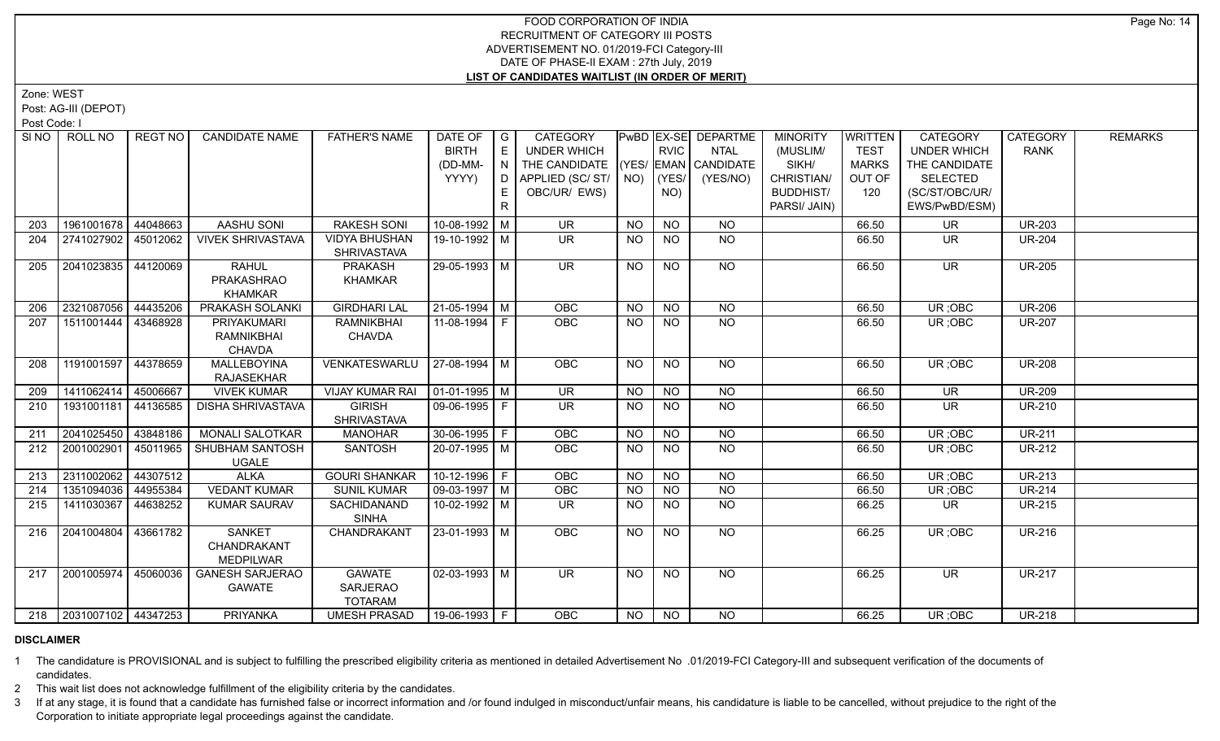Zone: WEST

Post: AG-III (DEPOT)

Post Code: I

|     | SINO   ROLL NO          | <b>REGT NO</b> | <b>CANDIDATE NAME</b>    | <b>FATHER'S NAME</b>   | DATE OF                | $\overline{\phantom{a}}$ G | <b>CATEGORY</b>    |                 |                | <b>PwBD EX-SE DEPARTME</b> | <b>MINORITY</b>  | WRITTEN      | <b>CATEGORY</b>    | <b>CATEGORY</b> | <b>REMARKS</b> |
|-----|-------------------------|----------------|--------------------------|------------------------|------------------------|----------------------------|--------------------|-----------------|----------------|----------------------------|------------------|--------------|--------------------|-----------------|----------------|
|     |                         |                |                          |                        | <b>BIRTH</b>           | E                          | <b>UNDER WHICH</b> |                 | <b>RVIC</b>    | <b>NTAL</b>                | (MUSLIM/         | <b>TEST</b>  | <b>UNDER WHICH</b> | RANK            |                |
|     |                         |                |                          |                        | (DD-MM-                | N                          | THE CANDIDATE      |                 |                | (YES/ EMAN CANDIDATE       | SIKH/            | <b>MARKS</b> | THE CANDIDATE      |                 |                |
|     |                         |                |                          |                        | YYYY)                  | D                          | APPLIED (SC/ST/    | NO)             | (YES/          | (YES/NO)                   | CHRISTIAN/       | OUT OF       | <b>SELECTED</b>    |                 |                |
|     |                         |                |                          |                        |                        | E                          | OBC/UR/ EWS)       |                 | NO)            |                            | <b>BUDDHIST/</b> | 120          | (SC/ST/OBC/UR/     |                 |                |
|     |                         |                |                          |                        |                        | R                          |                    |                 |                |                            | PARSI/ JAIN)     |              | EWS/PwBD/ESM)      |                 |                |
| 203 | 1961001678              | 44048663       | AASHU SONI               | <b>RAKESH SONI</b>     | 10-08-1992 M           |                            | <b>UR</b>          | <b>NO</b>       | <b>NO</b>      | <b>NO</b>                  |                  | 66.50        | UR                 | <b>UR-203</b>   |                |
| 204 | 2741027902              | 45012062       | <b>VIVEK SHRIVASTAVA</b> | <b>VIDYA BHUSHAN</b>   | 19-10-1992 M           |                            | <b>UR</b>          | <b>NO</b>       | <b>NO</b>      | $N$ O                      |                  | 66.50        | <b>UR</b>          | <b>UR-204</b>   |                |
|     |                         |                |                          | <b>SHRIVASTAVA</b>     |                        |                            |                    |                 |                |                            |                  |              |                    |                 |                |
| 205 | 2041023835              | 44120069       | <b>RAHUL</b>             | PRAKASH                | 29-05-1993 M           |                            | <b>UR</b>          | NO.             | <b>NO</b>      | <b>NO</b>                  |                  | 66.50        | <b>UR</b>          | <b>UR-205</b>   |                |
|     |                         |                | <b>PRAKASHRAO</b>        | <b>KHAMKAR</b>         |                        |                            |                    |                 |                |                            |                  |              |                    |                 |                |
|     |                         |                | <b>KHAMKAR</b>           |                        |                        |                            |                    |                 |                |                            |                  |              |                    |                 |                |
| 206 | 2321087056              | 44435206       | PRAKASH SOLANKI          | <b>GIRDHARI LAL</b>    | $21 - 05 - 1994$ M     |                            | <b>OBC</b>         | <b>NO</b>       | N <sub>O</sub> | <b>NO</b>                  |                  | 66.50        | UR; OBC            | <b>UR-206</b>   |                |
| 207 | 1511001444              | 43468928       | PRIYAKUMARI              | <b>RAMNIKBHAI</b>      | 11-08-1994   F         |                            | <b>OBC</b>         | <b>NO</b>       | <b>NO</b>      | $N$ O                      |                  | 66.50        | UR; OBC            | <b>UR-207</b>   |                |
|     |                         |                | <b>RAMNIKBHAI</b>        | <b>CHAVDA</b>          |                        |                            |                    |                 |                |                            |                  |              |                    |                 |                |
|     |                         |                | <b>CHAVDA</b>            |                        |                        |                            |                    |                 |                |                            |                  |              |                    |                 |                |
| 208 | 1191001597              | 44378659       | MALLEBOYINA              | VENKATESWARLU          | 27-08-1994 M           |                            | <b>OBC</b>         | NO.             | <b>NO</b>      | NO                         |                  | 66.50        | UR; OBC            | <b>UR-208</b>   |                |
|     |                         |                | <b>RAJASEKHAR</b>        |                        |                        |                            |                    |                 |                |                            |                  |              |                    |                 |                |
| 209 | 1411062414              | 45006667       | <b>VIVEK KUMAR</b>       | <b>VIJAY KUMAR RAI</b> | $\boxed{01-01-1995}$ M |                            | <b>UR</b>          | <b>NO</b>       | <b>NO</b>      | <b>NO</b>                  |                  | 66.50        | <b>UR</b>          | <b>UR-209</b>   |                |
| 210 | 1931001181              | 44136585       | <b>DISHA SHRIVASTAVA</b> | <b>GIRISH</b>          | 09-06-1995 F           |                            | <b>UR</b>          | NO.             | <b>NO</b>      | NO                         |                  | 66.50        | <b>UR</b>          | <b>UR-210</b>   |                |
|     |                         |                |                          | <b>SHRIVASTAVA</b>     |                        |                            |                    |                 |                |                            |                  |              |                    |                 |                |
| 211 | 2041025450              | 43848186       | <b>MONALI SALOTKAR</b>   | <b>MANOHAR</b>         | 30-06-1995   F         |                            | OBC                | NO.             | <b>NO</b>      | <b>NO</b>                  |                  | 66.50        | UR; OBC            | <b>UR-211</b>   |                |
| 212 | 2001002901              | 45011965       | SHUBHAM SANTOSH          | SANTOSH                | 20-07-1995   M         |                            | <b>OBC</b>         | NO              | <b>NO</b>      | <b>NO</b>                  |                  | 66.50        | UR; OBC            | <b>UR-212</b>   |                |
|     |                         |                | <b>UGALE</b>             |                        |                        |                            |                    |                 |                |                            |                  |              |                    |                 |                |
| 213 | 2311002062              | 44307512       | <b>ALKA</b>              | <b>GOURI SHANKAR</b>   | $10-12-1996$ F         |                            | OBC                | <b>NO</b>       | <b>NO</b>      | <b>NO</b>                  |                  | 66.50        | UR; OBC            | <b>UR-213</b>   |                |
| 214 | 1351094036 44955384     |                | <b>VEDANT KUMAR</b>      | <b>SUNIL KUMAR</b>     | $09-03-1997$ M         |                            | OBC                | $\overline{NQ}$ | <b>NO</b>      | $\overline{NQ}$            |                  | 66.50        | UR; OBC            | <b>UR-214</b>   |                |
| 215 | 1411030367              | 44638252       | <b>KUMAR SAURAV</b>      | SACHIDANAND            | 10-02-1992   M         |                            | UR.                | NO.             | <b>NO</b>      | <b>NO</b>                  |                  | 66.25        | UR.                | <b>UR-215</b>   |                |
|     |                         |                |                          | <b>SINHA</b>           |                        |                            |                    |                 |                |                            |                  |              |                    |                 |                |
| 216 | 2041004804              | 43661782       | <b>SANKET</b>            | CHANDRAKANT            | 23-01-1993 M           |                            | OBC                | <b>NO</b>       | <b>NO</b>      | N <sub>O</sub>             |                  | 66.25        | UR; OBC            | <b>UR-216</b>   |                |
|     |                         |                | CHANDRAKANT              |                        |                        |                            |                    |                 |                |                            |                  |              |                    |                 |                |
|     |                         |                | <b>MEDPILWAR</b>         |                        |                        |                            |                    |                 |                |                            |                  |              |                    |                 |                |
| 217 | 2001005974              | 45060036       | <b>GANESH SARJERAO</b>   | <b>GAWATE</b>          | $02 - 03 - 1993$ M     |                            | UR.                | NO.             | NO.            | NO.                        |                  | 66.25        | UR.                | <b>UR-217</b>   |                |
|     |                         |                | <b>GAWATE</b>            | <b>SARJERAO</b>        |                        |                            |                    |                 |                |                            |                  |              |                    |                 |                |
|     |                         |                |                          | <b>TOTARAM</b>         |                        |                            |                    |                 |                |                            |                  |              |                    |                 |                |
|     | 218 2031007102 44347253 |                | <b>PRIYANKA</b>          | UMESH PRASAD           | 19-06-1993 F           |                            | <b>OBC</b>         | NO              | NO.            | NO.                        |                  | 66.25        | UR; OBC            | <b>UR-218</b>   |                |

#### **DISCLAIMER**

1 The candidature is PROVISIONAL and is subject to fulfilling the prescribed eligibility criteria as mentioned in detailed Advertisement No .01/2019-FCI Category-III and subsequent verification of the documents of candidates.

2 This wait list does not acknowledge fulfillment of the eligibility criteria by the candidates.

3 If at any stage, it is found that a candidate has furnished false or incorrect information and /or found indulged in misconduct/unfair means, his candidature is liable to be cancelled, without prejudice to the right of t Corporation to initiate appropriate legal proceedings against the candidate.